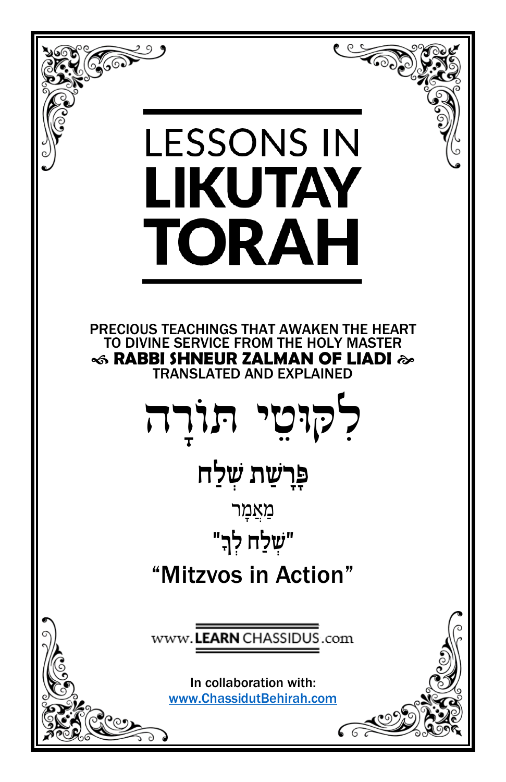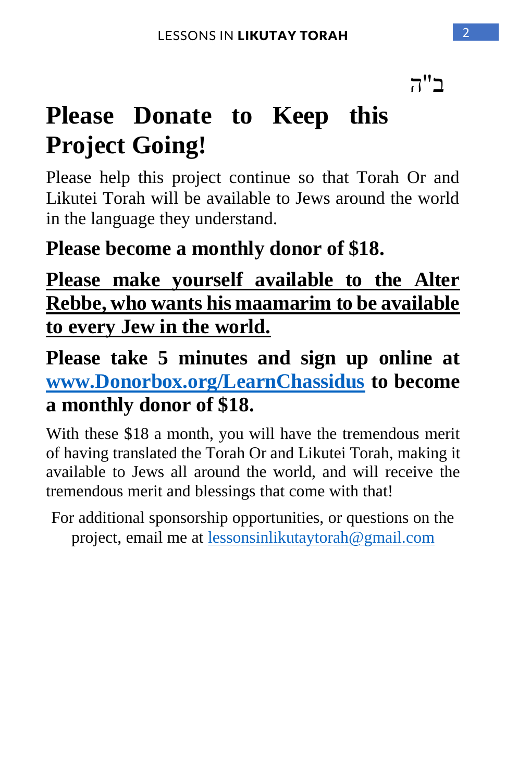ב"ה

# **Please Donate to Keep this Project Going!**

Please help this project continue so that Torah Or and Likutei Torah will be available to Jews around the world in the language they understand.

## **Please become a monthly donor of \$18.**

## **Please make yourself available to the Alter Rebbe, who wants his maamarim to be available to every Jew in the world.**

**Please take 5 minutes and sign up online at [www.Donorbox.org/LearnChassidus](http://www.donorbox.org/LearnChassidus) to become a monthly donor of \$18.** 

With these \$18 a month, you will have the tremendous merit of having translated the Torah Or and Likutei Torah, making it available to Jews all around the world, and will receive the tremendous merit and blessings that come with that!

For additional sponsorship opportunities, or questions on the project, email me at [lessonsinlikutaytorah@gmail.com](mailto:lessonsinlikutaytorah@gmail.com)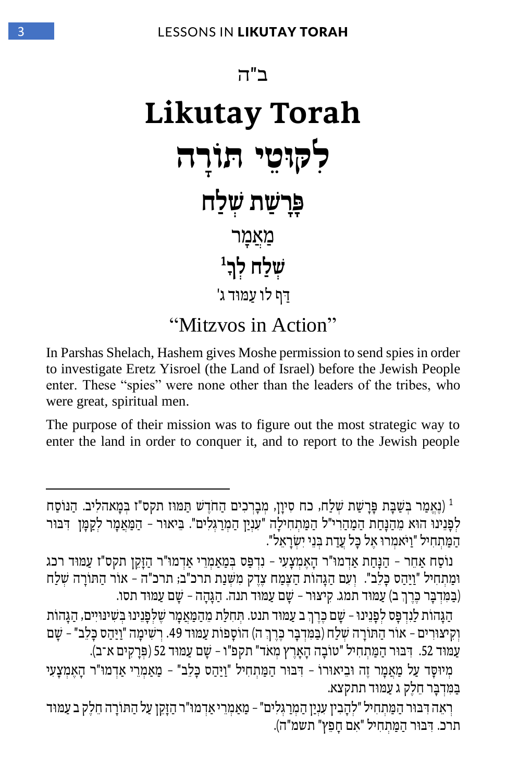

In Parshas Shelach, Hashem gives Moshe permission to send spies in order to investigate Eretz Yisroel (the Land of Israel) before the Jewish People enter. These "spies" were none other than the leaders of the tribes, who were great, spiritual men.

The purpose of their mission was to figure out the most strategic way to enter the land in order to conquer it, and to report to the Jewish people

<sup>1</sup> (נֵאֱמַר בְּשַׁבָּת פָּרָשַׁת שְׁלַח, כח סִיוַן, מִבָרְכִים הַחֹדֵשׁ תַּמּוּז תקס"ז בִּמָאהלִיב. הַנּוֹסַח לְפָנֵינוּ הוּא מֵהַנָּחַת הַמַהַרִי"ל הַמַּתְחִילַה "עִנְיַן הַמְרַגְּלִים". בֵּיאוּר - הַמַּאֲמַר לִקְמּוְ דִבּוּר הַמַּתְחִיל "וַיֹּאמְרוּ אֵל כָּל עֲדַת בְּנֵי יְשְׂרָאֵל".

נוֹסַח אַחר - הַנַּחַת אַדְמוּ"ר הַאַמְצָעִי - נִדְפָּס בְּמַאַמְרֵי אַדְמוּ"ר הַזָּקֶן תקס"ז עַמּוּד רכג ומַתְחִיל "וִיהס כַּלֹב". וְעָם הגהוֹת הַצְּמַח צַדֶק מַשֶּׁנַת תרכ"ב; תרכ"ה – אוֹר הַתּוֹרה שַׁלֹח (בַּמֵּדְבָּר כֶּרֶךְ ב) עַמּוּד תמג. קִיצוּר – שַׁם עַמּוּד תנה. הַגַּהֲה – שַׁם עַמּוּד תסו.

הַגָּהוֹת לַנִדְפָּס לִפָּנֵינוּ – שָׁם כֶּרֵךְ ב עַמּוּד תנט. תִּחִלַּת מֵהַמַּאַמַר שַׁלַפְנֵינוּ בִשִׁינּוּיִים, הגהוֹת ַוְקִיצוּרִים – אוֹר הַתּוֹרָה שִׁלַח (בַּמִּדְבָּר כֶּרֵךְ ה) הוֹסָפוֹת עַמּוּד 49. רִשְׁימָה "וַיַּהַס כָּלֵב" – שָׁם עַמוּד 52. דְּבּוּר הַמַּתְחִיל "טוֹבָה הָאָרֵץ מְאֹד" תקפ"ו – שָׁם עַמוּד 52 (פְּרַקִים א־ב).

מִיוּסָד עַל מַאֲמַר זֶה וּבִיאוּרוֹ - דִּבּוּר הַמַּתְחִיל "וַיַּהָס כַּלָב" - מַאַמְרֵי אַדמוּ"ר הָאֲמִצָעִי בַמַּדְבַר חֵלֵק ג עַמוּד תתקצא.

רְאֵה דִּבּוּר הַמַּתְחִיל "לְהֵבִין עָנַיַן הַמְרַגְּלִים" – מֵאַמְרֵי אַדמוּ"ר הַזַּקֵן עַל הַתּוֹרָה חֵלֵק ב עַמּוּד תרכ. דִּבּוּר הַמַּתְחִיל "אָם חַפֵּץ" תשמ"ה).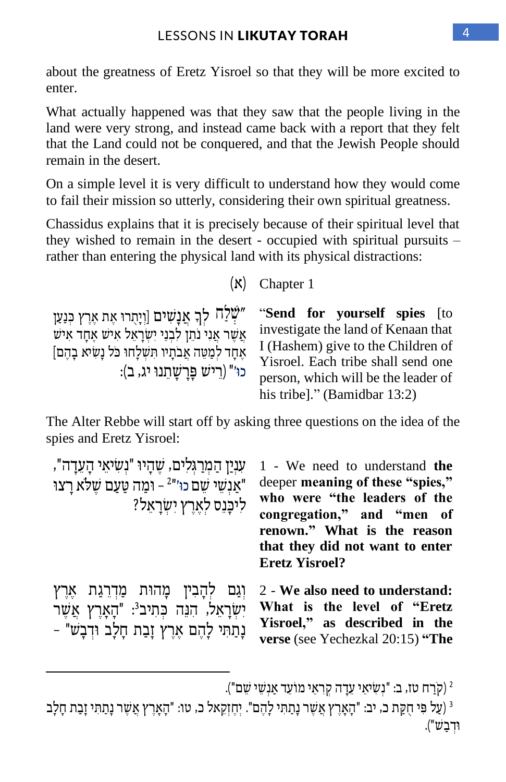about the greatness of Eretz Yisroel so that they will be more excited to enter.

What actually happened was that they saw that the people living in the land were very strong, and instead came back with a report that they felt that the Land could not be conquered, and that the Jewish People should remain in the desert.

On a simple level it is very difficult to understand how they would come to fail their mission so utterly, considering their own spiritual greatness.

Chassidus explains that it is precisely because of their spiritual level that they wished to remain in the desert - occupied with spiritual pursuits – rather than entering the physical land with its physical distractions:

 $(N)$  Chapter 1

שִׁלַח לַךְ אֲנַשִים [וְיָתְרוּ אֶת אֶרֶץ כְּנַעַן" אָשׁר אָנִי נֹתֵן לִבְנֵי יִשְׂרָאֵל אִישָׁ אַחָד אִיש אֶחֶד לְמַטֶּה אֲבֹתִיו תְּשָׁלַחוּ כֹּל נַשִׂיא בָהֶם] כו'" (רֵישׁ פַּרַשַׁתֲנוּ יג, ב):

"**Send for yourself spies** [to investigate the land of Kenaan that I (Hashem) give to the Children of Yisroel. Each tribe shall send one person, which will be the leader of his tribe]." (Bamidbar 13:2)

The Alter Rebbe will start off by asking three questions on the idea of the spies and Eretz Yisroel:

| עניַן הַמְרַגְלִים, שֵׁהָיוּ "נִשִׂיאֵי הָעֲדָה",<br>"אַנשי שם כוּ'" <sup>2</sup> – וּמַה טַעַם שֵׁלֹא רַצוּ<br>ליכַּנֵס לְאֵרֶץ יִשְׂרָאֵל?       | 1 - We need to understand the<br>deeper meaning of these "spies,"<br>who were "the leaders of the<br>congregation," and "men of<br>renown." What is the reason<br>that they did not want to enter<br><b>Eretz Yisroel?</b> |
|----------------------------------------------------------------------------------------------------------------------------------------------------|----------------------------------------------------------------------------------------------------------------------------------------------------------------------------------------------------------------------------|
| וְגַם לִהַבְין מָהוּת מַדְרֵגַת אֵרֵץ<br>יִשְׂרָאֵל, הִנֵּה כִּתִיב <sup>3</sup> : "הָאָרֶץ אֲשֶׁר<br>נְתַתִּי לְהֶם אֶרֶץ זָבַת חָלָב וּדִבָשׁ" - | 2 - We also need to understand:<br>What is the level of "Eretz<br>Yisroel," as described in the<br>verse (see Yechezkal 20:15) "The                                                                                        |

קֹרַח טז, ב: "נִשְׂיאֵי עֵדָה קִרְאֵי מוֹעֵד אַנְשֵׁי שֵׁם").

<sup>ْ</sup>ג (עַל פִּי חָקַת כ, יב: "הָאָרֵץ אֲשֶׁר נָתַתִּי לָהֶם". יְחֶזְקָאל כ, טו: "הָאָרֵץ אֲשֶׁר נָתַתִּי זָבָת חָלָב וּדִבשׁ").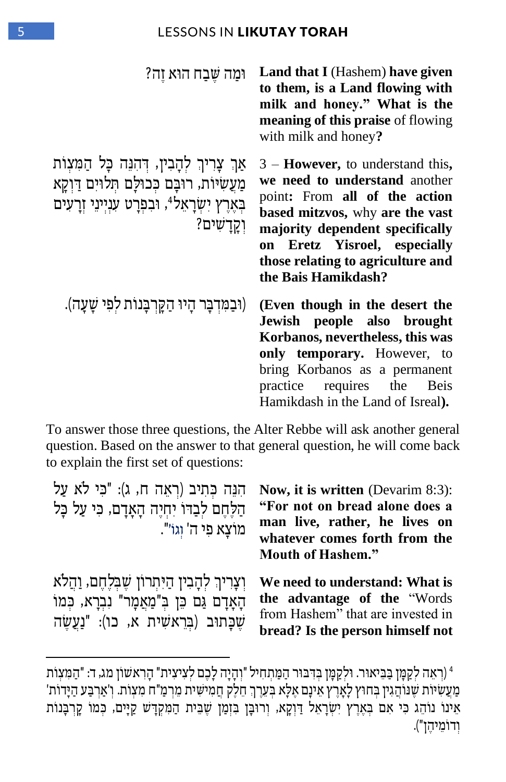| וּמַה שֵׁבַח הוּא זֵה?                                                                                                                                                                  | <b>Land that I</b> (Hashem) have given<br>to them, is a Land flowing with<br>milk and honey." What is the<br>meaning of this praise of flowing<br>with milk and honey?                                                                                                            |
|-----------------------------------------------------------------------------------------------------------------------------------------------------------------------------------------|-----------------------------------------------------------------------------------------------------------------------------------------------------------------------------------------------------------------------------------------------------------------------------------|
| אַךְ צָרִיךְ לְהָבִין, דְּהִנֵּה כָּל הַמִּצְוֹת<br>מַעֲשִׂיוֹת, רוּבָם כִּכוּלָם תִּלוּיִם דַּוְקָא<br>בְאֶרֶץ יִשְׂרָאֵל <sup>4</sup> , וּבִפְרָט עִנְיִינֵי וְרָעִים<br>וִקַדַשִׁים? | $3 -$ <b>However</b> , to understand this,<br>we need to understand another<br>point: From all of the action<br>based mitzvos, why are the vast<br>majority dependent specifically<br>Eretz Yisroel, especially<br>on<br>those relating to agriculture and<br>the Bais Hamikdash? |
| (וּבַמִּדְבַר הַיוּ הַקַּרְבַּנוֹת לִפִי שַׁעַה).                                                                                                                                       | (Even though in the desert the<br>Jewish people also brought<br>Korbanos, nevertheless, this was<br>only temporary. However, to<br>bring Korbanos as a permanent<br>practice requires the Beis<br>Hamikdash in the Land of Isreal).                                               |

To answer those three questions, the Alter Rebbe will ask another general question. Based on the answer to that general question, he will come back to explain the first set of questions:

| הִנֶּה כִּתְיב (רְאֵה ח, ג): "כִּי לֹא עַל<br>הַלַחֵם לִבְדוֹ יְחִיֵה הָאָדָם, כִּי עַל כָּל<br>מוצא פי ה' וגו'".                              | <b>Now, it is written</b> (Devarim 8:3):<br>"For not on bread alone does a<br>man live, rather, he lives on<br>whatever comes forth from the<br><b>Mouth of Hashem."</b> |
|------------------------------------------------------------------------------------------------------------------------------------------------|--------------------------------------------------------------------------------------------------------------------------------------------------------------------------|
| וְצָרִיךְ לְהָבִין הַיִּתְרוֹן שֵׁבְלֵחֵם, וַהֲלֹא<br>הָאָדָם גַם כֵּן בְּ"מַאֲמָר" נִבְרָא, כְּמוֹ<br>שַׁכַּתוּב (בִרְאשִית א, כו): "נַעֲשֶׂה | We need to understand: What is<br>the advantage of the "Words"<br>from Hashem" that are invested in<br>bread? Is the person himself not                                  |

<sup>4</sup> )רְּ אֵ ה לְּ קַ מ ָ ן ב ַ ב ֵ יאו ר. ו לְּ קַ מ ָ ן ב ְּ ד ִ ב ו ר הַ מ ַ תְּ חִ יל "וְּ הָ יָה לָכֶ ם לְּ צִ יצִ ית " הָ רִ אש וֹ ן מג, ד: " הַ מ ִ צְּ וֹת ַמְעֵשִׂיוֹת שֶׁנוֹהֲגִין בְּחוּץ לָאָרֶץ אֵינָם אֶלָא בְעֵרֶךְ חֱלֶק חֲמִישִׁית מֵרְמַ"ח מִצְוֹת. וְ'אַרבַע הַיָּדוֹת' ָאֵינוֹ נוֹהֶג כִּי אִם בְּאֶרֶץ יִשְׂרָאֵל דַּוְקָא, וְרוּבֶן בִּזְמַן שֵׁבֵּית הַמִּקְדָּשׁ קַיִּים, כְּמוֹ קַרְבָּנוֹת וְּ דוֹמֵ יהֶ ן "(.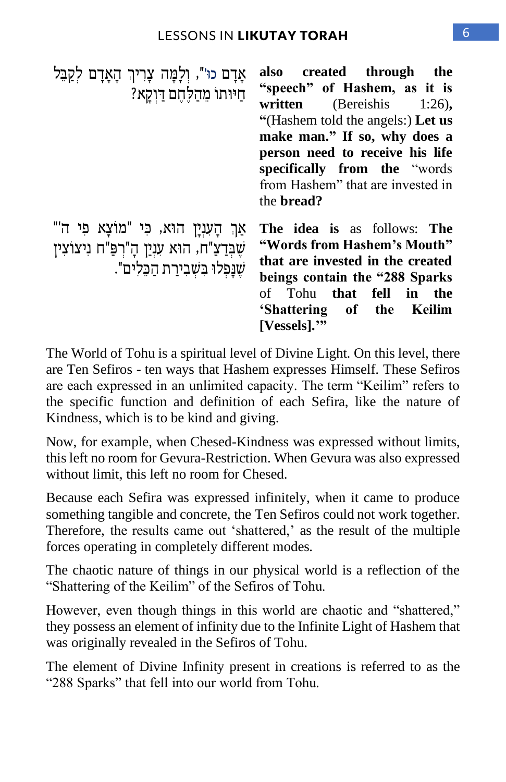| אָדָם כוּ'", וְלָמָה צָרִיךְ הָאָדָם לְקַבֵּל<br>חיותו מהלחם דוקא?                                                                 | also created through the<br>"speech" of Hashem, as it is<br>written (Bereishis $1:26$ ),<br>"(Hashem told the angels:) Let us<br>make man." If so, why does a<br>person need to receive his life<br>specifically from the "words"<br>from Hashem" that are invested in<br>the <b>bread</b> ? |
|------------------------------------------------------------------------------------------------------------------------------------|----------------------------------------------------------------------------------------------------------------------------------------------------------------------------------------------------------------------------------------------------------------------------------------------|
| "אַךְ הַעָנְיַן הוּא, כִּי "מוֹצַא פִי ה<br>שֶׁבְּדַצַ"ח, הוּא עִנַיַן הָ"רְפַּ"ח נִיצוֹצִין<br>שַׁנַפְלוּ בִשְׁבִירַת הַכֵּלִים". | <b>The idea is as follows: The</b><br>"Words from Hashem's Mouth"<br>that are invested in the created<br>beings contain the "288 Sparks"<br>Tohu that fell in the<br>of<br>'Shattering of the Keilim<br>[Vessels].'''                                                                        |

The World of Tohu is a spiritual level of Divine Light. On this level, there are Ten Sefiros - ten ways that Hashem expresses Himself. These Sefiros are each expressed in an unlimited capacity. The term "Keilim" refers to the specific function and definition of each Sefira, like the nature of Kindness, which is to be kind and giving.

Now, for example, when Chesed-Kindness was expressed without limits, this left no room for Gevura-Restriction. When Gevura was also expressed without limit, this left no room for Chesed.

Because each Sefira was expressed infinitely, when it came to produce something tangible and concrete, the Ten Sefiros could not work together. Therefore, the results came out 'shattered,' as the result of the multiple forces operating in completely different modes.

The chaotic nature of things in our physical world is a reflection of the "Shattering of the Keilim" of the Sefiros of Tohu.

However, even though things in this world are chaotic and "shattered," they possess an element of infinity due to the Infinite Light of Hashem that was originally revealed in the Sefiros of Tohu.

The element of Divine Infinity present in creations is referred to as the "288 Sparks" that fell into our world from Tohu.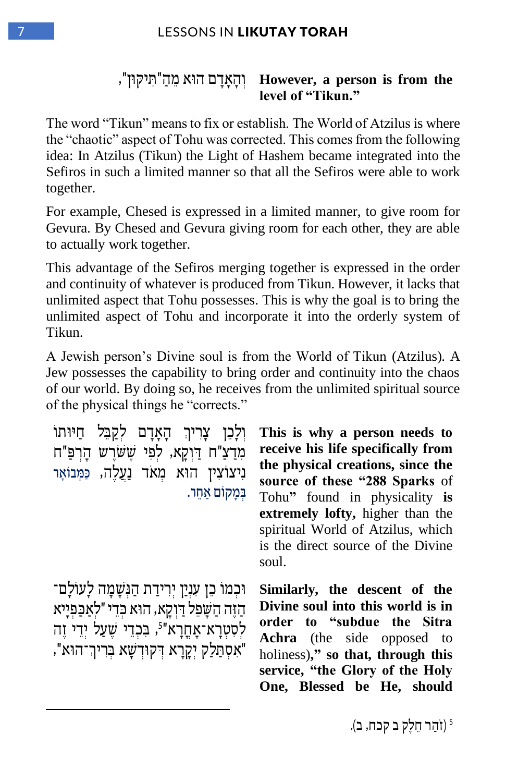#### **, נְהָאֲדָם הוֹא מֵהַ**"תִּיקּוּן", However, a person is from the **level of "Tikun."**

The word "Tikun" means to fix or establish. The World of Atzilus is where the "chaotic" aspect of Tohu was corrected. This comes from the following idea: In Atzilus (Tikun) the Light of Hashem became integrated into the Sefiros in such a limited manner so that all the Sefiros were able to work together.

For example, Chesed is expressed in a limited manner, to give room for Gevura. By Chesed and Gevura giving room for each other, they are able to actually work together.

This advantage of the Sefiros merging together is expressed in the order and continuity of whatever is produced from Tikun. However, it lacks that unlimited aspect that Tohu possesses. This is why the goal is to bring the unlimited aspect of Tohu and incorporate it into the orderly system of Tikun.

A Jewish person's Divine soul is from the World of Tikun (Atzilus). A Jew possesses the capability to bring order and continuity into the chaos of our world. By doing so, he receives from the unlimited spiritual source of the physical things he "corrects."

וִלָכֵן צָרִיךְ הַאַדַם לִקַבֵּל חַיּוּתוֹ מִדַצ"ח דַוקַא, לפי ששׁרש הַרפּ"ח ניצוֹצין הוֹא מֹאֹד נַעַלה, כּמִבוֹאִר ַ במקוֹם אחר.

וּכְמוֹ כֵן עִנְיַן יִרִידַת הַגְּשַׁמַה לַעוֹלִם־ הַ ז ֶה הַ ש ָ פֵ ל ד ַ וְּ קָ א, הו א כ ְּ דֵ י " לְּ אַ כ ַ פְּ יָיא לִסְטְרָא־אָחֳרָא"<sup>5</sup>, בִּכְדֵי שֵׁעַל יִדֵי זֵה "אִסְתַלַק יִקֲרָא דִּקוּדְשָׁא בְּרִיךְ־הוּא",

**This is why a person needs to receive his life specifically from the physical creations, since the source of these "288 Sparks** of Tohu**"** found in physicality **is extremely lofty,** higher than the spiritual World of Atzilus, which is the direct source of the Divine soul.

**Similarly, the descent of the Divine soul into this world is in order to "subdue the Sitra Achra** (the side opposed to holiness)**," so that, through this service, "the Glory of the Holy One, Blessed be He, should**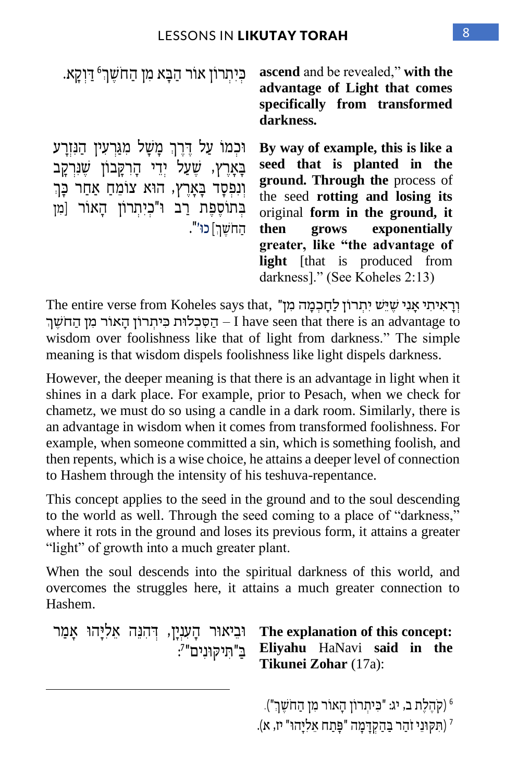| כִּיְתִרוֹן אוֹר הַבַּא מִן הַחֹשֵׁךְ <sup>6</sup> דַּוְקַא.                                                                                                                                               | ascend and be revealed," with the<br>advantage of Light that comes<br>specifically from transformed<br>darkness.                                                                                                                                                                                                 |
|------------------------------------------------------------------------------------------------------------------------------------------------------------------------------------------------------------|------------------------------------------------------------------------------------------------------------------------------------------------------------------------------------------------------------------------------------------------------------------------------------------------------------------|
| וּכְמוֹ עַל דֶּרֶךְ מָשָׁל מִגַּרְעִין הַנִּזְרָע<br>בָאָרֵץ, שֵעַל יִדֵי הָרְקָבוֹן שֵׁנִּרְקָב<br>וְנִפְסָד בָּאָרֵץ, הוּא צוֹמֵחַ אַחַר כָּךְ<br>בְתוֹסֵפָת רַב וּ"כִיתְרוֹן הָאוֹר [מִן<br>החשר] כו'". | By way of example, this is like a<br>seed that is planted in the<br>ground. Through the process of<br>the seed rotting and losing its<br>original form in the ground, it<br>then grows exponentially<br>greater, like "the advantage of<br><b>light</b> [that is produced from<br>darkness]." (See Koheles 2:13) |

יִרְאִיתִי אֲנִי שֶׁיֵּשׁ יִתְרוֹן לַחֲכְמָה מְן" .The entire verse from Koheles says that הַסְּכָלוּת כִּיתְרוֹן הַאוֹר מִן הַחֹשֵׁךְ $-1$  have seen that there is an advantage to wisdom over foolishness like that of light from darkness." The simple meaning is that wisdom dispels foolishness like light dispels darkness.

However, the deeper meaning is that there is an advantage in light when it shines in a dark place. For example, prior to Pesach, when we check for chametz, we must do so using a candle in a dark room. Similarly, there is an advantage in wisdom when it comes from transformed foolishness. For example, when someone committed a sin, which is something foolish, and then repents, which is a wise choice, he attains a deeper level of connection to Hashem through the intensity of his teshuva-repentance.

This concept applies to the seed in the ground and to the soul descending to the world as well. Through the seed coming to a place of "darkness," where it rots in the ground and loses its previous form, it attains a greater "light" of growth into a much greater plant.

When the soul descends into the spiritual darkness of this world, and overcomes the struggles here, it attains a much greater connection to Hashem.

```
וּבִיאוּר הַעָנְיַן, דְּהִנֶּה אֵלְיַּהוּ אַמַר
                              בַ"תִּיקוּנִים"׳:
```
**The explanation of this concept: Eliyahu** HaNavi **said in the Tikunei Zohar** (17a):

6 ַה ֹח ֶש "(. ְּך )קֹהֶ לֶת ב, יג : " כ ִ יתְּ רוֹן הָ אוֹר מִ ן

7 ) ִת ק וֵני זֹ ַהר ב ַ הַ קְּ ד ָ מָ ה " פ ָ תַ ח ֵא ִל ָיה ו" יז, א (.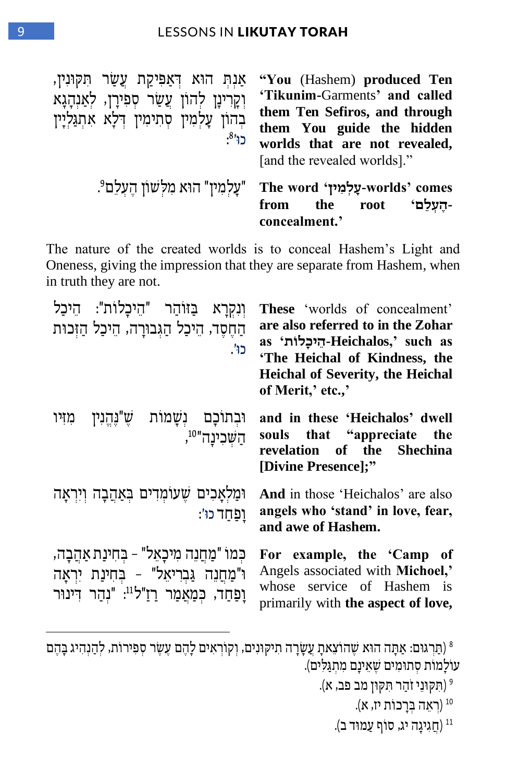אַנִּת הוֹא דְּאַפִּיקַת עֲשַׂר תִקּוּנִין, וְקָרִינָן לְהוֹן עֲשַׂר סִפְירָן, לְאַנְהָגָא בְהוֹן עַלְמִין סְתִימִין דְּלָא אִתְגַּלְיָין כו<sup>81</sup>:

**"You** (Hashem) **produced Ten 'Tikunim-**Garments**' and called them Ten Sefiros, and through them You guide the hidden worlds that are not revealed,** [and the revealed worlds]."

| "עָלְמִין" הוא מִלְשׁוֹן הֻעָלֵם The word יעָלְמוּך worlds' comes |               |  |                         |
|-------------------------------------------------------------------|---------------|--|-------------------------|
|                                                                   |               |  | -הֵעָלֶם' from the root |
|                                                                   | concealment.' |  |                         |

The nature of the created worlds is to conceal Hashem's Light and Oneness, giving the impression that they are separate from Hashem, when in truth they are not.

| וִנְקְרָא בַּזוֹהַר "הֵיכָלוֹת": הֵיכַל<br>הַחֶסֶד, הֵיכַל הַגְּבוּרָה, הֵיכַל הַזְּכוּת<br>כו'.                                                           | These 'worlds of concealment'<br>are also referred to in the Zohar<br>as 'הֵיכַלוֹת Heichalos,' such as<br>'The Heichal of Kindness, the<br><b>Heichal of Severity, the Heichal</b><br>of Merit,' etc.,' |
|------------------------------------------------------------------------------------------------------------------------------------------------------------|----------------------------------------------------------------------------------------------------------------------------------------------------------------------------------------------------------|
| וּבְתוֹכָם נְשָׁמוֹת שֶׁ"נֶהֱנִין מִזִּיו<br>ּהַשָּׁכִינַה" <sup>,</sup>                                                                                   | and in these 'Heichalos' dwell<br>souls that "appreciate the<br>revelation of the Shechina<br>[Divine Presence];"                                                                                        |
| וּמַלְאָכִים שֶׁעוֹמְדִים בְּאַהֲבָה וְיִרְאָה<br>וַפַּחַד כוֹ׳:                                                                                           | <b>And</b> in those 'Heichalos' are also<br>angels who 'stand' in love, fear,<br>and awe of Hashem.                                                                                                      |
| כִּמוֹ "מַחֲנֵה מִיכָאֵל" – בִּחִינַת אַהֲבָה,<br>ו"מַחֲנֶה גַּבְרִיאֵל" - בְּחִינַת יִרְאָה<br>וַפַּחַד, כִּמַאֲמַר רַזַ"ל <sup>11</sup> : "נִהַר דִינוּר | For example, the 'Camp of<br>Angels associated with Michoel,'<br>whose service of Hashem is<br>primarily with the aspect of love,                                                                        |

ת הוֹא שָׁהוֹצֵאתָ עֲשָׂרָה תִיקוּנִים, וְקוֹרְאִים לָהֶם עֵשֶׂר סְפִירוֹת, לְהֻנְהִיג בָּהֶם [8] (תַּרְגּוּס: אַתָּה הוֹא שָׁהוֹצֵאתָ עֲשָׂר עוֹלַמוֹת סְתוּמִים שֵׁאֵינַם מִתְגַּלִים).

- 10 )רְּ אֵ ה ב ְּ רָ כוֹ ת יז, א(.
- תַגִיגָה יג, סוֹף עַמוּד ב).

<sup>&</sup>lt;sup>9</sup> (תִקוּנֵי זֹהַר תִּקוּן מב פב, א).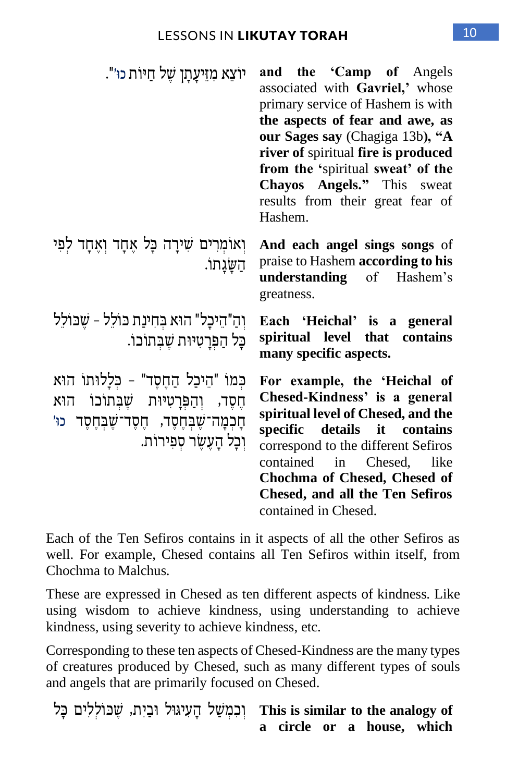| יוֹצֵא מְזֵיעֲתַן שֶׁל חַיּוֹת כוּ׳".                                                                                                                                 | and the 'Camp of Angels<br>associated with Gavriel,' whose<br>primary service of Hashem is with<br>the aspects of fear and awe, as<br>our Sages say (Chagiga 13b), "A<br>river of spiritual fire is produced<br>from the 'spiritual sweat' of the<br>Chayos Angels." This sweat<br>results from their great fear of<br>Hashem. |
|-----------------------------------------------------------------------------------------------------------------------------------------------------------------------|--------------------------------------------------------------------------------------------------------------------------------------------------------------------------------------------------------------------------------------------------------------------------------------------------------------------------------|
| וְאוֹמְרִים שִׁירָה כָּל אֵחָד וְאֵחָד לִפִּי<br>הַשַּׂגַתוֹ.                                                                                                         | And each angel sings songs of<br>praise to Hashem according to his<br>understanding of Hashem's<br>greatness.                                                                                                                                                                                                                  |
| וְהַ"הֵיכָל" הוּא בִּחִינַת כּוֹלֵל - שֵׁכּוֹלֵל<br>כַּל הַפְּרַטִיּוּת שֵׁבְּתוֹכוֹ.                                                                                 | Each 'Heichal' is a general<br>spiritual level that<br>contains<br>many specific aspects.                                                                                                                                                                                                                                      |
| כִּמוֹ "הֵיכַל הַחֶסֶד" - כִּלְלוּתוֹ הוּא<br>חֵסֶד, וְהַפְּרָטִיּוּת שֵׁבְּתוֹכוֹ הוֹא<br>ֿחָכְמָה־שֶׁבְּחֶסֶד, חֶסֶד־שֶׁבְּחֶסֶד כוּ׳<br>וִכַל הַעֲשֶׂר סִפִּירוֹת. | For example, the 'Heichal of<br>Chesed-Kindness' is a general<br>spiritual level of Chesed, and the<br>specific details it contains<br>correspond to the different Sefiros<br>contained in Chesed,<br>like<br>Chochma of Chesed, Chesed of<br><b>Chesed, and all the Ten Sefiros</b><br>contained in Chesed.                   |

Each of the Ten Sefiros contains in it aspects of all the other Sefiros as well. For example, Chesed contains all Ten Sefiros within itself, from Chochma to Malchus.

These are expressed in Chesed as ten different aspects of kindness. Like using wisdom to achieve kindness, using understanding to achieve kindness, using severity to achieve kindness, etc.

Corresponding to these ten aspects of Chesed-Kindness are the many types of creatures produced by Chesed, such as many different types of souls and angels that are primarily focused on Chesed.

יִרְ יִבְיָתוּ, שְׁבוֹלְלִים כָּל This is similar to the analogy of **a circle or a house, which**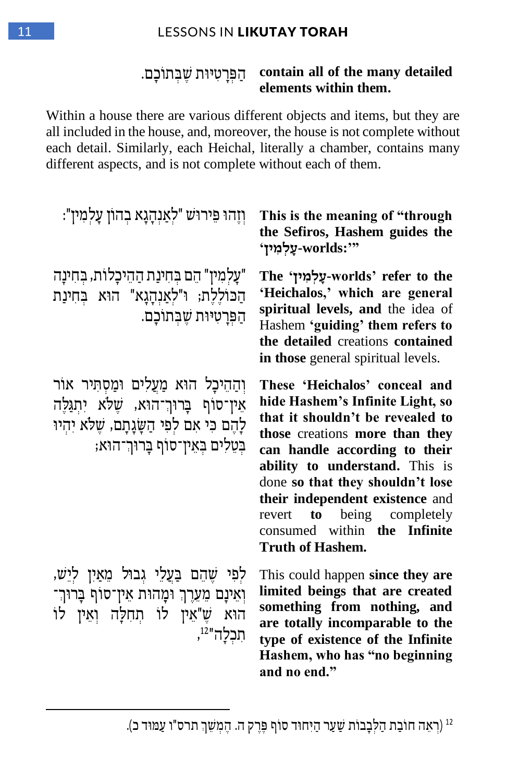#### 11 LESSONS IN **LIKUTAY TORAH**

#### הַפְּרָטִיּוּת שֶׁבְתוֹכָם. **contain all of the many detailed elements within them.**

Within a house there are various different objects and items, but they are all included in the house, and, moreover, the house is not complete without each detail. Similarly, each Heichal, literally a chamber, contains many different aspects, and is not complete without each of them.

| וְזֶהוּ פֵּירוּש "לִאַנְהָגָא בהון עָלִמִין":                                                                                                                        | This is the meaning of "through<br>the Sefiros, Hashem guides the<br>עַלְמִין' worlds:'''                                                                                                                                                                                                                                                                                                   |
|----------------------------------------------------------------------------------------------------------------------------------------------------------------------|---------------------------------------------------------------------------------------------------------------------------------------------------------------------------------------------------------------------------------------------------------------------------------------------------------------------------------------------------------------------------------------------|
| "עַלמִין" הֵם בִּחִינַת הַהֵיכָלוֹת, בִּחִינָה<br>הַכּוֹלֵלֶת; וּ"לִאַנְהָגָא" הוּא בְּחִינַת<br>הַפְּרָטִיּוּת שֶבְּתוֹכָם.                                         | The 'עֵלְמִיץ worlds' refer to the<br>'Heichalos,' which are general<br>spiritual levels, and the idea of<br>Hashem 'guiding' them refers to<br>the detailed creations contained<br>in those general spiritual levels.                                                                                                                                                                      |
| וְהַהֵיכָל הוּא מַעֲלִים וּמַסְתִּיר אוֹר<br>אין־סוף ברוך־הוא, שלא יתגלה<br>לַהֵם כִּי אִם לִפִי הַשָּׂנֶתָם, שֶׁלֹא יִהְיוּ<br>בִּטֶלִים בִּאֵין־סוֹף בַרוּךְ־הוּא; | These 'Heichalos' conceal and<br>hide Hashem's Infinite Light, so<br>that it shouldn't be revealed to<br>those creations more than they<br>can handle according to their<br>ability to understand. This is<br>done so that they shouldn't lose<br>their independent existence and<br>being completely<br>$\mathbf{to}$<br>revert<br>consumed within the Infinite<br><b>Truth of Hashem.</b> |
| לִפִּי שֶׁהֵם בַּעֲלֵי גִבוּל מֵאַיִן לִיֵש,<br>וְאֵינָם מֵעֵרֶךְ וּמָהוּת אֵין־סוֹף בָּרוּךְ־<br>הוא שֵ"אֵין לו תחלַה וְאֵין לו<br>תכלה" <sup>12</sup> ,            | This could happen since they are<br>limited beings that are created<br>something from nothing, and<br>are totally incomparable to the<br>type of existence of the Infinite<br>Hashem, who has "no beginning<br>and no end."                                                                                                                                                                 |

<sup>12</sup> (רִאֵה חוֹבַת הַלְּבָבוֹת שַׁעַר הַיִּחוּד סוֹף פֵּרֶק ה. הֵמְשֵׁךְ תרס"ו עַמּוּד כ).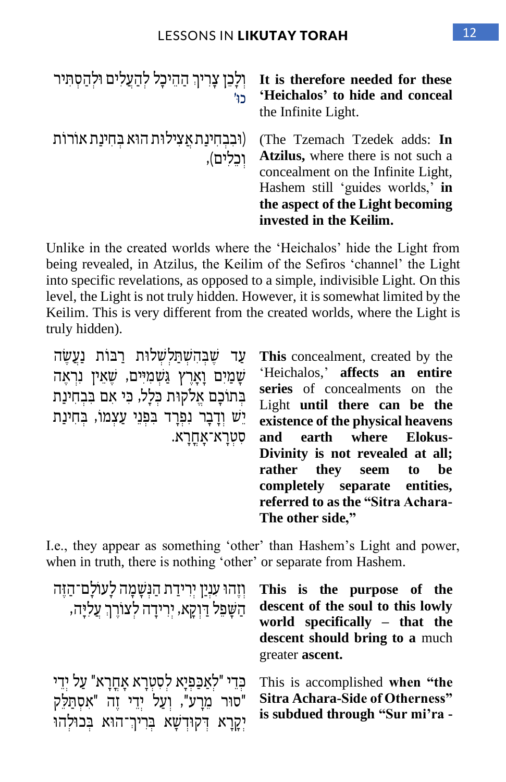| ולכן צריך ההיכל להעלים ולהסתיר<br>כו'                      | It is therefore needed for these<br>'Heichalos' to hide and conceal<br>the Infinite Light.                                                                                                                  |
|------------------------------------------------------------|-------------------------------------------------------------------------------------------------------------------------------------------------------------------------------------------------------------|
| (וּבְבְחִינַת אֲצִילוּת הוּא בְחִינַת אורות)<br>וִכְלִים), | (The Tzemach Tzedek adds: In<br>Atzilus, where there is not such a<br>concealment on the Infinite Light,<br>Hashem still 'guides worlds,' in<br>the aspect of the Light becoming<br>invested in the Keilim. |

Unlike in the created worlds where the 'Heichalos' hide the Light from being revealed, in Atzilus, the Keilim of the Sefiros 'channel' the Light into specific revelations, as opposed to a simple, indivisible Light. On this level, the Light is not truly hidden. However, it is somewhat limited by the Keilim. This is very different from the created worlds, where the Light is truly hidden).

עד שבהשתלשלות רבות נעשה ּשְׁמַיִּם וָאָרֵץ גַּשְׁמִיִּים, שֵׁאֵין נִרְאֵה בְתוֹכָם אֱלֹקוּת כְּלַל, כִּי אִם בְּבְחִינַת יֵש וְּ דָ בָ ר נִ פְּ רָ ד ב ִ פְּ נֵי עַ צְּ מוֹ , ב ְּ חִ ינַת סִ טְּ רָ א־ אָ חֳ רָ א .

**This** concealment, created by the 'Heichalos,' **affects an entire series** of concealments on the Light **until there can be the existence of the physical heavens**  earth where Elokus-**Divinity is not revealed at all; rather they seem to be completely separate entities, referred to as the "Sitra Achara-The other side,"**

I.e., they appear as something 'other' than Hashem's Light and power, when in truth, there is nothing 'other' or separate from Hashem.

| וזֶהוּ עִנַיַן יִרִידַת הַנִּשָׁמָה לָעוֹלָם־הַזֵּה<br>הַשָּׁפֵל דַּוְקָא, יִרִידָה לִצוֹרֵךְ עַלִיַּה, | This is the purpose of the<br>descent of the soul to this lowly<br>world specifically – that the<br>descent should bring to a much<br>greater ascent. |
|---------------------------------------------------------------------------------------------------------|-------------------------------------------------------------------------------------------------------------------------------------------------------|
| ּכְּדֵי "לִאֲכַפְיַא לִסְטְרָא אָחֲרָא" עַל יְדֵי                                                       | This is accomplished when "the                                                                                                                        |
| "סוּר מֵרַע", וְעַל יְדֵי זֶה "אִסְתַּלֵק                                                               | Sitra Achara-Side of Otherness"                                                                                                                       |
| יַקַרַא דְּקוּדְשַׁא בְּרִיךְ־הוּא בְּכוּלְהוּ                                                          | is subdued through "Sur mi'ra -                                                                                                                       |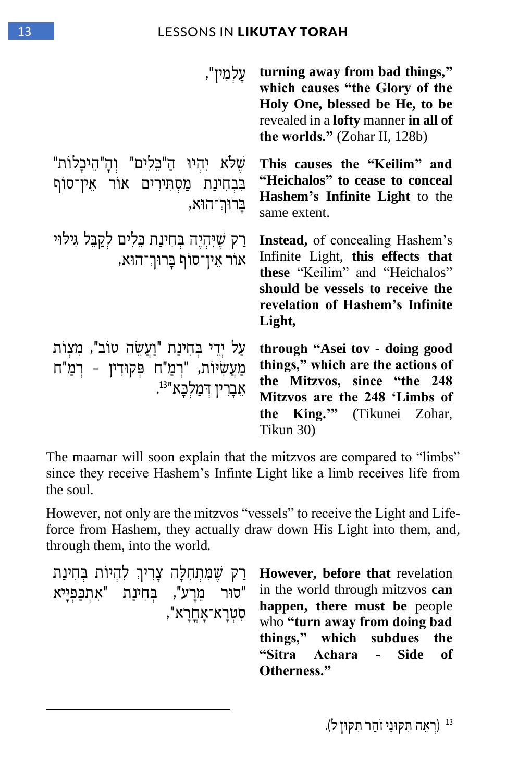#### 13 LESSONS IN LIKUTAY TORAH

| עַלמִין",                                                                                                        | turning away from bad things,"<br>which causes "the Glory of the<br>Holy One, blessed be He, to be<br>revealed in a <b>lofty</b> manner in all of<br>the worlds." $(Zohar II, 128b)$           |
|------------------------------------------------------------------------------------------------------------------|------------------------------------------------------------------------------------------------------------------------------------------------------------------------------------------------|
| שלא יהיו ה"כלים" וה"היכלות"<br>בִּבְחִינַת מַסְתְּירִים אוֹר אֵין־סוֹף<br>בַרוּךְ־הוּא,                          | This causes the "Keilim" and<br>"Heichalos" to cease to conceal<br><b>Hashem's Infinite Light</b> to the<br>same extent.                                                                       |
| רַק שֵיּהִיֵּה בִּחִינַת כֵּלִים לִקַבֵּל גִּילוּי<br>אור אין־סוף בַרוּך־הוא,                                    | <b>Instead,</b> of concealing Hashem's<br>Infinite Light, this effects that<br>these "Keilim" and "Heichalos"<br>should be vessels to receive the<br>revelation of Hashem's Infinite<br>Light, |
| עַל יִדֵי בִּחִינַת "וַעֲשֶׂה טוֹב", מִצְוֹת<br>מַעֲשִׂיּוֹת, "רְמַ"ח פְּקוּדִין - רְמַ"ח<br>.אברין דְמַלְכָּא". | through "Asei tov - doing good<br>things," which are the actions of<br>the Mitzvos, since "the 248<br>Mitzvos are the 248 'Limbs of<br>the King."" (Tikunei Zohar,<br>Tikun 30)                |

The maamar will soon explain that the mitzvos are compared to "limbs" since they receive Hashem's Infinte Light like a limb receives life from the soul.

However, not only are the mitzvos "vessels" to receive the Light and Lifeforce from Hashem, they actually draw down His Light into them, and, through them, into the world.

```
ַרַק שֶׁמְּתִחְלַּה צַרִיךְ לְהִיוֹת בְּחִינַת
"סור מֵרַע", בְּחִינַת "אִתְכָּפְיַיא
                          סִ טְּ רָ א־ אָ חֳ רָ א ",
```
**However, before that** revelation in the world through mitzvos **can happen, there must be** people who **"turn away from doing bad things," which subdues the "Sitra Achara - Side of Otherness."**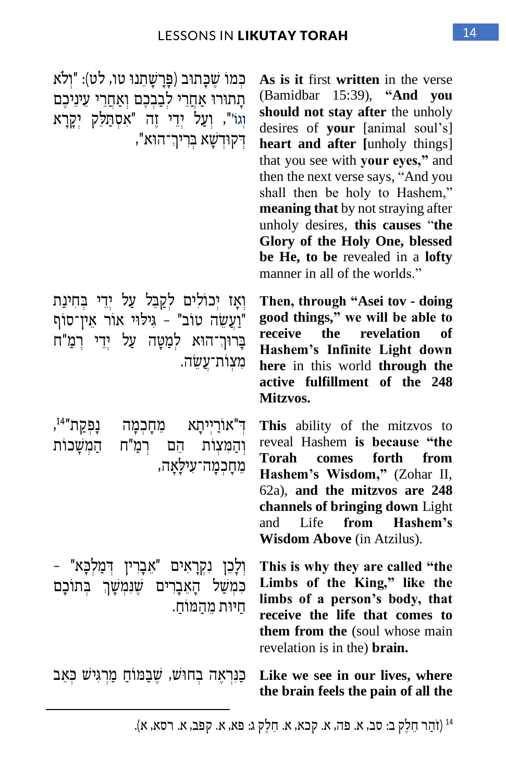כִּמוֹ שֶׁכָּתוּב (פַּרָשָׁתֵנוּ טו, לט): "וִלֹא תתוּרוּ אחרי לבבכם ואחרי עיניכם וְגוֹ", וְעַל יְדֵי זֶה "אִסְתַּלֵּק יְקָרַא ָ דְּקוּדְשַׁא בְּרִיךְ־הוּא",

וְאָז יְכוֹלִים לְקַבֵּל עַל יְדֵי בְחִינַת וֹעֲשֶׂה טוֹב" - גִילוּי אוֹר אַין־סוֹף בָּרוּךְ־הוּא לִמַטָּה עַל יְדֵי רְמַ"ח מִצְוֹת־עֲשֶׂה.

ד ְּ " אוֹרַ יְּיתָ א מֵ חָ כְּ מָ ה נָפְּ קַ ת" 14 , ּ reveal וְהַמִּצְוֹת הֵם רְמַ"ח הַמְשָׁכוֹת<br>Torah מחכמה־עילאה,

ּ וְלָכֵן נִקְרָאִים "אֵבָרִין דִּמַלִכָּא" – כִּמְשַׁל הָאֵבָרִים שֵׁנִּמְשָׁךְ בְּתוֹכָם חיות מהמוֹח.

**Like we see in our lives, where** כַּנראה בחוש, שַׁבַּמּוֹחָ מַרְגִּישׁ כֹּאַב

**As is it** first **written** in the verse (Bamidbar 15:39), **"And you should not stay after** the unholy desires of **your** [animal soul's] **heart and after [**unholy things] that you see with **your eyes,"** and then the next verse says, "And you shall then be holy to Hashem," **meaning that** by not straying after unholy desires, **this causes** "**the Glory of the Holy One, blessed be He, to be** revealed in a **lofty**  manner in all of the worlds."

**Then, through "Asei tov - doing good things," we will be able to receive the revelation of Hashem's Infinite Light down here** in this world **through the active fulfillment of the 248 Mitzvos.** 

**This** ability of the mitzvos to reveal Hashem **is because "the Torah comes forth from Hashem's Wisdom,"** (Zohar II, 62a), **and the mitzvos are 248 channels of bringing down** Light and Life **from Hashem's Wisdom Above** (in Atzilus).

**This is why they are called "the Limbs of the King," like the limbs of a person's body, that receive the life that comes to them from the** (soul whose main revelation is in the) **brain.**

**the brain feels the pain of all the** 

<sup>14</sup> (זֹהַר חֵלֶק ב: סב, א. פה, א. קכא, א. חֵלֶק ג: פא, א. קפב, א. רסא, א).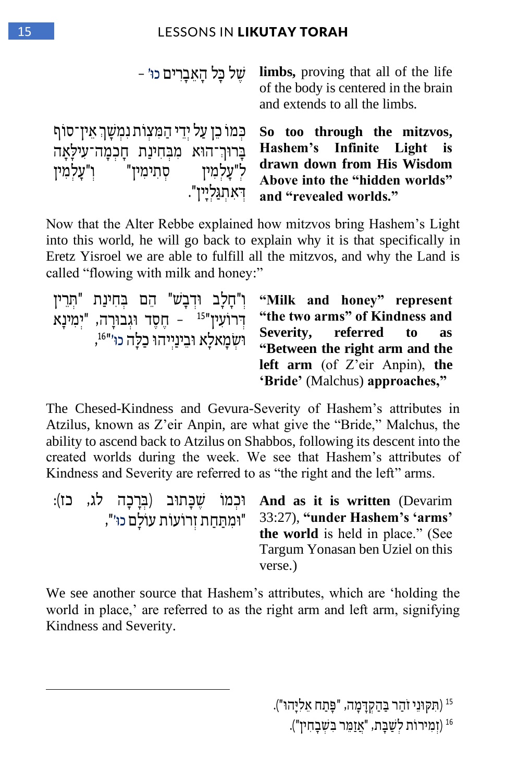| של כֵּל הַאֲבַרִים כוּ׳ –                                                                                                     | <b>limbs</b> , proving that all of the life<br>of the body is centered in the brain<br>and extends to all the limbs.                                |
|-------------------------------------------------------------------------------------------------------------------------------|-----------------------------------------------------------------------------------------------------------------------------------------------------|
| כמו כן על ידי המעות נמשך אין־סוף<br>בַּרוּךְ־הוּא מִבְּחִינַת חַכְמַה־עִילַאַה<br>ל"עַלמין סִתִימִין" ו"עַלמִין<br>דאתגלייז". | So too through the mitzvos,<br>Hashem's Infinite Light is<br>drawn down from His Wisdom<br>Above into the "hidden worlds"<br>and "revealed worlds." |

Now that the Alter Rebbe explained how mitzvos bring Hashem's Light into this world, he will go back to explain why it is that specifically in Eretz Yisroel we are able to fulfill all the mitzvos, and why the Land is called "flowing with milk and honey:"

| "חִרֵין ("חֵלֵב וּדְבָשׁ" הֶם בְּחִינַת "תְרֵין ("Milk and honey" represent |                                |
|-----------------------------------------------------------------------------|--------------------------------|
| דרועין" <sup>15</sup> - חֵסֶד וּגְבוּרַה, "יִמְינַא                         | "the two arms" of Kindness and |
| ושמאלא ובינייהו כלה כו'"4,                                                  | Severity, referred to as       |
|                                                                             | "Between the right arm and the |
|                                                                             | left arm (of Z'eir Anpin), the |
|                                                                             | 'Bride' (Malchus) approaches," |

The Chesed-Kindness and Gevura-Severity of Hashem's attributes in Atzilus, known as Z'eir Anpin, are what give the "Bride," Malchus, the ability to ascend back to Atzilus on Shabbos, following its descent into the created worlds during the week. We see that Hashem's attributes of Kindness and Severity are referred to as "the right and the left" arms.

|                         |  | וּכְמוֹ שַׁכַּחוּב (בְּרַכַה לג, כז): And as it is written (Devarim |
|-------------------------|--|---------------------------------------------------------------------|
| "ומתחת זרועות עולם כו", |  | 33:27), "under Hashem's 'arms'                                      |
|                         |  | the world is held in place." (See                                   |
|                         |  | Targum Yonasan ben Uziel on this                                    |
|                         |  | verse.)                                                             |

We see another source that Hashem's attributes, which are 'holding the world in place,' are referred to as the right arm and left arm, signifying Kindness and Severity.

> 15 ) ִת ק וֵני זֹ ַהר ב ַ הַ קְּ ד ָ מָ ה, " פ ָ תַ ח ֵא ִל ָיה ו"(. <sup>16</sup> (זְמִירוֹת לְשַׁבָּת, "אֲזַמֵּר בִּשָּׁבָחִין").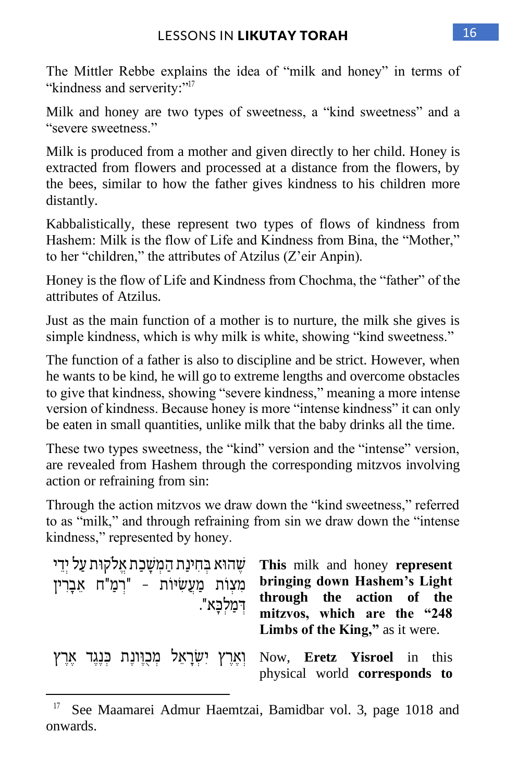The Mittler Rebbe explains the idea of "milk and honey" in terms of "kindness and serverity:"<sup>17</sup>

Milk and honey are two types of sweetness, a "kind sweetness" and a "severe sweetness."

Milk is produced from a mother and given directly to her child. Honey is extracted from flowers and processed at a distance from the flowers, by the bees, similar to how the father gives kindness to his children more distantly.

Kabbalistically, these represent two types of flows of kindness from Hashem: Milk is the flow of Life and Kindness from Bina, the "Mother," to her "children," the attributes of Atzilus (Z'eir Anpin).

Honey is the flow of Life and Kindness from Chochma, the "father" of the attributes of Atzilus.

Just as the main function of a mother is to nurture, the milk she gives is simple kindness, which is why milk is white, showing "kind sweetness."

The function of a father is also to discipline and be strict. However, when he wants to be kind, he will go to extreme lengths and overcome obstacles to give that kindness, showing "severe kindness," meaning a more intense version of kindness. Because honey is more "intense kindness" it can only be eaten in small quantities, unlike milk that the baby drinks all the time.

These two types sweetness, the "kind" version and the "intense" version, are revealed from Hashem through the corresponding mitzvos involving action or refraining from sin:

Through the action mitzvos we draw down the "kind sweetness," referred to as "milk," and through refraining from sin we draw down the "intense kindness," represented by honey.

| שהוא בחינת המשכת אלקות על ידי<br>מִצְוֹת מַעֲשִׂיּוֹת - "רְמַ"ח אֶבָרִין<br>ִדְמַלְכָּא". | This milk and honey represent<br>bringing down Hashem's Light<br>through the action of the<br>mitzvos, which are the "248<br>Limbs of the King," as it were. |
|-------------------------------------------------------------------------------------------|--------------------------------------------------------------------------------------------------------------------------------------------------------------|
|                                                                                           | וֹאָרֶץ יִשְׂרָאֵל מְכָוֶוֹנֶת בְּנֶגֶד אֶרֶץ Now, Eretz Yisroel in this<br>physical world corresponds to                                                    |

<sup>17</sup> See Maamarei Admur Haemtzai, Bamidbar vol. 3, page 1018 and onwards.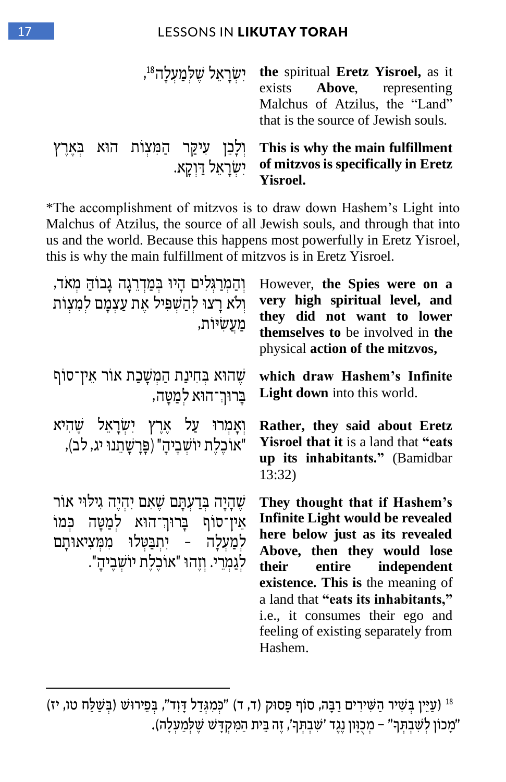#### 17 LESSONS IN **LIKUTAY TORAH**

|  |                      | , ישֻלְמַעָלָה <sup>18</sup> , <b>the spiritual Eretz Yisroel, as it</b><br>exists <b>Above</b> , representing<br>Malchus of Atzilus, the "Land"<br>that is the source of Jewish souls. |
|--|----------------------|-----------------------------------------------------------------------------------------------------------------------------------------------------------------------------------------|
|  | יִשְׂרַאֵל דַּוְקֵא. | יַלְכֵן עִיקַר הַמִּעְוֹת הוֹא בָּאֵרֶץ This is why the main fulfillment<br>of mitzvos is specifically in Eretz<br><b>Yisroel.</b>                                                      |

\*The accomplishment of mitzvos is to draw down Hashem's Light into Malchus of Atzilus, the source of all Jewish souls, and through that into us and the world. Because this happens most powerfully in Eretz Yisroel, this is why the main fulfillment of mitzvos is in Eretz Yisroel.

| והמרגלים היו במדרגה גבוה מאד,<br>ולא רצו להשפיל את עצמם למצות<br>מַעֲשִיּוֹת,                                                                         | However, the Spies were on a<br>very high spiritual level, and<br>they did not want to lower<br>themselves to be involved in the<br>physical action of the mitzvos,                                                                                                                                                                 |
|-------------------------------------------------------------------------------------------------------------------------------------------------------|-------------------------------------------------------------------------------------------------------------------------------------------------------------------------------------------------------------------------------------------------------------------------------------------------------------------------------------|
| שֲהוּא בְּחִינַת הַמְשָׁכַת אוֹר אֵין־סוֹף<br>בַרוּך־הוא למַטַה,                                                                                      | which draw Hashem's Infinite<br><b>Light down</b> into this world.                                                                                                                                                                                                                                                                  |
| וְאָמְרוּ עַל אֶרֶץ יִשְׂרָאֵל שֶׁהִיא<br>"אוֹכֵלֶת יוֹשָׁבֵיהַ" (פַּרַשַּׁתֵנוּ יג, לב),                                                             | Rather, they said about Eretz<br><b>Yisroel that it is a land that "eats"</b><br>up its inhabitants." (Bamidbar<br>13:32)                                                                                                                                                                                                           |
| שֶׁהָיָה בְּדַעְתָּם שֵׁאָם יְהִיֵּה גִילוּי אור<br>אין־סוף ברור־הוא למטה כמו<br>למַעָלָה - יִתְבַטְלוּ מִמְּצִיאוּתָם<br>לגמרי. וזהו "אוכלת יושביה". | They thought that if Hashem's<br>Infinite Light would be revealed<br>here below just as its revealed<br>Above, then they would lose<br>their<br>entire independent<br>existence. This is the meaning of<br>a land that "eats its inhabitants,"<br>i.e., it consumes their ego and<br>feeling of existing separately from<br>Hashem. |

<sup>&</sup>lt;sup>18</sup> (עַיֵּין בְּשִׁיר הַשִּׁירִים רַבָּה, סוֹף פָּסוּק (ד, ד) "כְּמִגְדַל דָּוִד", בְּפֵירוּשׁ (בְּשַׁלַח טו, יז) "מָכוֹן לְשִׁבְתְּךָ" – מְכָוָון נֶגֶד 'שִׁבְתְּךָ', זֶה בֵּית הַמִּקְדָשׁ שֶׁלְמַעְלָה). Ę j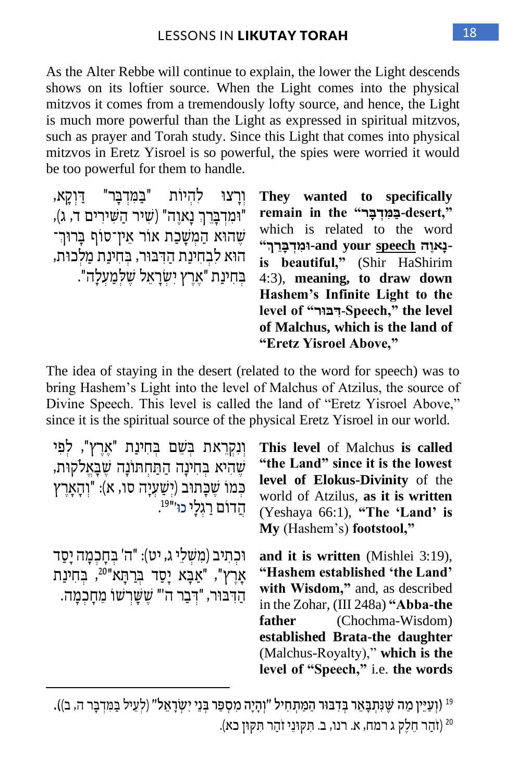As the Alter Rebbe will continue to explain, the lower the Light descends shows on its loftier source. When the Light comes into the physical mitzvos it comes from a tremendously lofty source, and hence, the Light is much more powerful than the Light as expressed in spiritual mitzvos, such as prayer and Torah study. Since this Light that comes into physical mitzvos in Eretz Yisroel is so powerful, the spies were worried it would be too powerful for them to handle.

וְרָצוּ לְהְיוֹת "בַּמִּדְבָּר" דַּוְקָא, "וּמְדִבְּרֶךְ נַאוָה" (שִׁיר הַשִּׁירִים ד, ג), שְׁהוֹא הַמְשָׁכָת אוֹר אין־סוֹף בַּרוּך־ הוא לבחינת הדבור, בחינת מלכות, ָ בִּחִינַת "אַרץ יִשׂראַל שַלְּמַעַלָה".

**They wanted to specifically ",desert-ב מ ִ דְׁ ב ַָּׁר" the in remain** which is related to the word is beautiful," (Shir HaShirim **נָּאוֶ הַׁ speech your and-ו ִמְׁד ָּב ר ְׁך"** 4:3), **meaning, to draw down Hashem's Infinite Light to the level of "ר בו ד ִ-Speech," the level of Malchus, which is the land of "Eretz Yisroel Above,"**

The idea of staying in the desert (related to the word for speech) was to bring Hashem's Light into the level of Malchus of Atzilus, the source of Divine Speech. This level is called the land of "Eretz Yisroel Above," since it is the spiritual source of the physical Eretz Yisroel in our world.

| וִנְקְרֵאת בִּשֵׁם בִּחִינַת "אֶרֶץ", לִפִּי<br>שֶׁהִיא בְחִינַה הַתַּחתּוֹנַה שֶׁבַּאֲלֹקוּת,<br>כִּמוֹ שֵׁכָּתוּב (יִשַּׁעָיָה סו, א): "וְהָאָרֵץ<br>הֵדוֹם רַגְלֵי כוּ׳" <sup>19</sup> . | This level of Malchus is called<br>"the Land" since it is the lowest<br>level of Elokus-Divinity of the<br>world of Atzilus, as it is written<br>(Yeshaya 66:1), "The 'Land' is<br>My (Hashem's) footstool,"                                                                              |
|---------------------------------------------------------------------------------------------------------------------------------------------------------------------------------------------|-------------------------------------------------------------------------------------------------------------------------------------------------------------------------------------------------------------------------------------------------------------------------------------------|
| וּכִתִּיב (מִשְׁלֵי ג, יט): "ה' בְחָכְמָה יָסַד<br>אָרֶץ", "אַבָּא יָסַד בִּרַתָּא" <sup>20</sup> , בִּחִינַת<br>הַדְּבּוּר, "דְּבַר ה'" שֶשָרִשוֹ מֵחָכְמָה.                               | and it is written (Mishlei 3:19),<br>"Hashem established 'the Land'<br>with Wisdom," and, as described<br>in the Zohar, (III 248a) "Abba-the<br><b>father</b> (Chochma-Wisdom)<br>established Brata-the daughter<br>(Malchus-Royalty)," which is the<br>level of "Speech," i.e. the words |

<sup>19</sup> (וְעַיֵּין מַה שֶׁנִּתְבָאֵר בְּדִבּוּר הַמַּתְחִיל "וְהָיָה מִסְפַר בְּנֵי יִשְׂרָאֵל" (לְעֵיל בַּמִּדְבָּר ה, ב)). 20 )זֹהַ ר חֵ לֶק ג רמח, א. רנו, ב. ִת ק וֵני זֹ ַהר ִת ק ון כא(.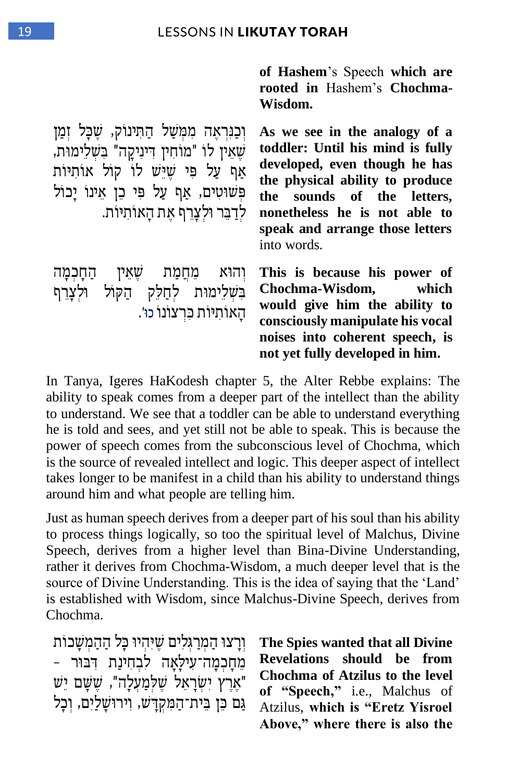**of Hashem**'s Speech **which are rooted in** Hashem's **Chochma-Wisdom.** וְּ כַנִּרְאָה מִמְּשַׁל הַתִּינוֹק, שֵׁכָּל זְמַן **As we see in the analogy of a toddler: Until his mind is fully developed, even though he has** 

**the physical ability to produce the sounds of the letters, nonetheless he is not able to speak and arrange those letters** into words.

**This is because his power of Chochma-Wisdom, which would give him the ability to consciously manipulate his vocal noises into coherent speech, is not yet fully developed in him.**

In Tanya, Igeres HaKodesh chapter 5, the Alter Rebbe explains: The ability to speak comes from a deeper part of the intellect than the ability to understand. We see that a toddler can be able to understand everything he is told and sees, and yet still not be able to speak. This is because the power of speech comes from the subconscious level of Chochma, which is the source of revealed intellect and logic. This deeper aspect of intellect takes longer to be manifest in a child than his ability to understand things around him and what people are telling him.

Just as human speech derives from a deeper part of his soul than his ability to process things logically, so too the spiritual level of Malchus, Divine Speech, derives from a higher level than Bina-Divine Understanding, rather it derives from Chochma-Wisdom, a much deeper level that is the source of Divine Understanding. This is the idea of saying that the 'Land' is established with Wisdom, since Malchus-Divine Speech, derives from Chochma.

י וְרָצוּ הַמְרַגִּלִים שֵׁיּהִיוּ כָּל הַהַמְשָׁכוֹת מֵחָכְמַה־עִילַאֲה לִבְחִינַת דְּבּוּר – "אֶרֶץ יִשְׂרָאֵל שֶׁלְמַעָלָה", שֵׁשֵׁם יֵשׁ גַם כֵּן בֵית־הַמִּקְדַּשׁ, וְירוּשַלַיִם, וְכָל

**The Spies wanted that all Divine Revelations should be from Chochma of Atzilus to the level of "Speech,"** i.e., Malchus of Atzilus, **which is "Eretz Yisroel Above," where there is also the** 

| שֵׁאֵין לו "מוחין דיניקה" בשלימות,         |  |
|--------------------------------------------|--|
| אַף עַל פִּי שֶׁיֵּשׁ לוֹ קוֹל אוֹתִיּוֹת  |  |
| פְשׁוּטִים, אַף עַל פִּי כֵן אֵינוֹ יַכוֹל |  |
|                                            |  |
| לִדַבֵּר וּלְצָרֵף אֶת הָאוֹתִיּוֹת.       |  |
|                                            |  |

וְהוֹא מֶחֲמַת שֶאֵין הַחַכְמַה בִשְׁלֵימוּת לְחַלֵק הַקּוֹל וּלִצַרִף

ָהָאוֹתיּוֹת כַּרְצוֹנוֹ כוּ׳.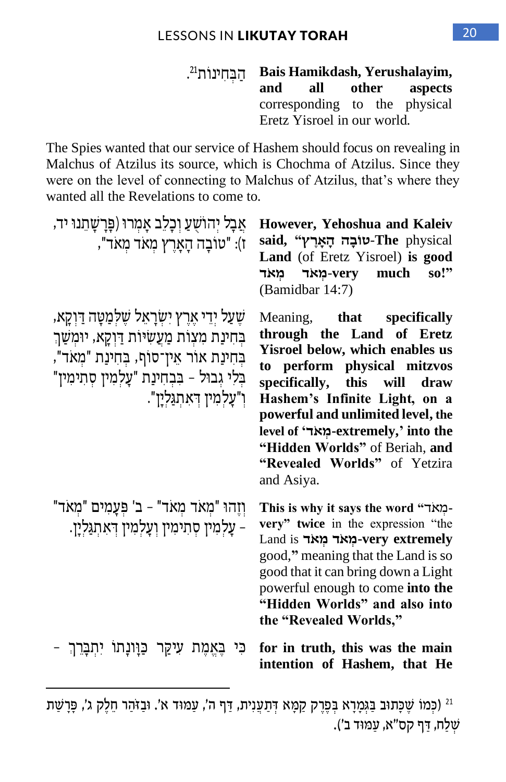$^{21}$ הַבְּחִינוֹת . **Bais Hamikdash, Yerushalayim, aspects** corresponding to the physical Eretz Yisroel in our world.

The Spies wanted that our service of Hashem should focus on revealing in Malchus of Atzilus its source, which is Chochma of Atzilus. Since they were on the level of connecting to Malchus of Atzilus, that's where they wanted all the Revelations to come to.

| אַבָל יִהוֹשָׁעַ וִכָלְב אָמְרוּ (פַּרָשָׁתֵנוּ יד,<br>ז): "טוֹבַה הַאַרֵץ מִאד מִאד",                                                                                                              | However, Yehoshua and Kaleiv<br>said, "יאֲרֵץ-The physical<br>Land (of Eretz Yisroel) is good<br>very much-מאד מאד<br>so!"<br>(Bamidbar 14:7)                                                                                                                                                                                                                    |
|-----------------------------------------------------------------------------------------------------------------------------------------------------------------------------------------------------|------------------------------------------------------------------------------------------------------------------------------------------------------------------------------------------------------------------------------------------------------------------------------------------------------------------------------------------------------------------|
| שֵעַל יִדֵי אֵרֵץ יִשְׂרָאֵל שֵלְמַטָּה דַוְקָא,<br>בחינת מצות מעשיות דוקא, יומשך<br>בחינת אור אין־סוף, בחינת "מאד",<br>בלי גבול - בִּבְחִינַת "עָלְמִין סְתִימִין"<br>ו"עַלְמִין דְּאַתְגַּלְיַן". | Meaning, that specifically<br>through the Land of Eretz<br>Yisroel below, which enables us<br>to perform physical mitzvos<br>specifically, this will<br>draw<br>Hashem's Infinite Light, on a<br>powerful and unlimited level, the<br>level of 'תאר $\cdot$ extremely,' into the<br>"Hidden Worlds" of Beriah, and<br>"Revealed Worlds" of Yetzira<br>and Asiya. |
| וְזֶהוּ "מִאד מִאד" - ב' פִּעֲמִים "מִאד"<br>עלמין סתימין ועלמין דאתגלין.                                                                                                                           | This is why it says the word "תאר-<br>very" twice in the expression "the<br>Land is -מְאד מְאד very extremely<br>good," meaning that the Land is so<br>good that it can bring down a Light<br>powerful enough to come into the<br>"Hidden Worlds" and also into<br>the "Revealed Worlds,"                                                                        |
| ּעִיקַר כַּוָּונָתו יִתְבָּרֵךְ -<br>בי<br>בַאֲמֵת                                                                                                                                                  | for in truth, this was the main<br>intention of Hashem, that He                                                                                                                                                                                                                                                                                                  |

<sup>&</sup>lt;sup>21</sup> (כְּמוֹ שֶׁכָּתוּב בַּגְמָרָא בְּפֶרֶק קַמָּא דְּתַעֲנִית, דַּף ה', עַמּוּד א'. וּבַזֹּהַר חֵלֶק ג', פָּרָשַׁת ְשַּלח, ַּ דף קס"א, ַּע מ וד ב'( .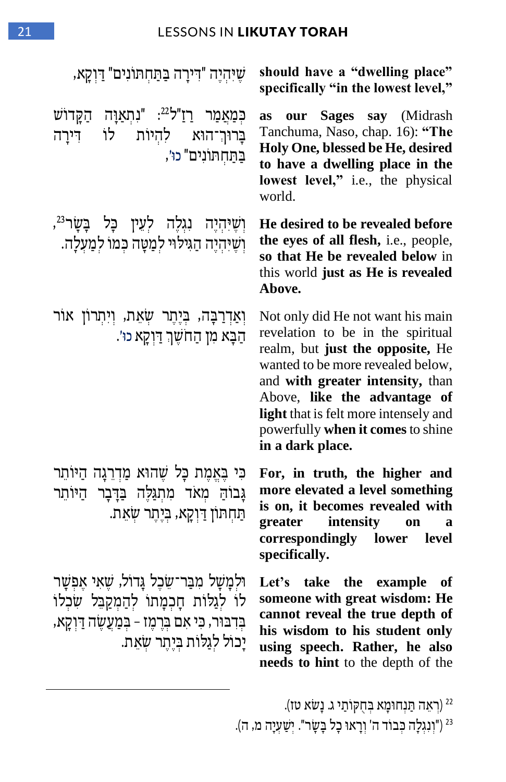#### 21 LESSONS IN LIKUTAY TORAH

| שֶׁיּהִיֶּה "דִּירָה בַּתַּחִתּוֹנִים" דַּוְקָא,                                                                                                                                        | should have a "dwelling place"<br>specifically "in the lowest level,"                                                                                                                                                                                                                                                 |
|-----------------------------------------------------------------------------------------------------------------------------------------------------------------------------------------|-----------------------------------------------------------------------------------------------------------------------------------------------------------------------------------------------------------------------------------------------------------------------------------------------------------------------|
| כְּמַאֲמַר רַזַ"ל <sup>22</sup> : "גִתְאַוָּה הַקָּדוֹש<br>בֲרוּךְ־הוּא לְהִיוֹת לוֹ<br>דִירַה<br>בַתַּחִתּוֹנִים" כוּ׳,                                                                | Sages say (Midrash<br>our<br>as<br>Tanchuma, Naso, chap. 16): "The<br>Holy One, blessed be He, desired<br>to have a dwelling place in the<br>lowest level," i.e., the physical<br>world.                                                                                                                              |
| וְשֶׁיִּהְיֶה נִגְלֶה לְעֵין כָּל בָּשָׂר <sup>23</sup> ,<br>וְשֵׁיִּהִיָּה הַגִּיּלוּי לִמַטָּה כִּמוֹ לִמַעָלָה.                                                                      | He desired to be revealed before<br>the eyes of all flesh, i.e., people,<br>so that He be revealed below in<br>this world just as He is revealed<br>Above.                                                                                                                                                            |
| וְאַדְרַבָּה, בְּיֶתֶר שְׂאֵת, וְיִתְרוֹן אוֹר<br>הַבָּא מִן הַחֹשֵׁךְ דַּוְקָא כוּ׳.                                                                                                   | Not only did He not want his main<br>revelation to be in the spiritual<br>realm, but just the opposite, He<br>wanted to be more revealed below,<br>and with greater intensity, than<br>Above, like the advantage of<br>light that is felt more intensely and<br>powerfully when it comes to shine<br>in a dark place. |
| כִּי בָּאֱמֶת כָּל שֶׁהוּא מַדְרֵנָה הַיּוֹתֵר<br>גָבוֹהַ מִאד מִתְגַּלֶּה בַּדְּבָר הַיּוֹתֵר<br>תַחִתּוֹן דַּוְקַא, בְּיָתֵר שָׂאֵת.                                                  | For, in truth, the higher and<br>more elevated a level something<br>is on, it becomes revealed with<br>intensity<br>greater<br>on<br>a<br>correspondingly lower level<br>specifically.                                                                                                                                |
| וּלמָשָׁל מִבַּר־שֶׂכֶל גַּדוֹל, שֵׁאִי אֵפִשַּׁר<br>לו לגלות חָכְמָתו לְהַמְקַבֵּל שִׂכְלוֹ<br>בִּדְבּוּר, כִּי אִם בְּרֶמֶז – בִּמַעֲשֶׂה דַּוְקָא,<br>יַכול לגַלוֹת בִּיַתֵר שָׂאֵת. | Let's take the example<br>оf<br>someone with great wisdom: He<br>cannot reveal the true depth of<br>his wisdom to his student only<br>using speech. Rather, he also<br>needs to hint to the depth of the                                                                                                              |

(רְאֵה תַּנְחוּמָא בְּחֻקּוֹתַי ג. נָשׂא טז)<sup>22</sup> <sup>23</sup> ("וְנְגְלָה כִּבוֹד ה' וְרָאוּ כָל בָּשָׂר". יְשַׁעִיָּה מ, ה).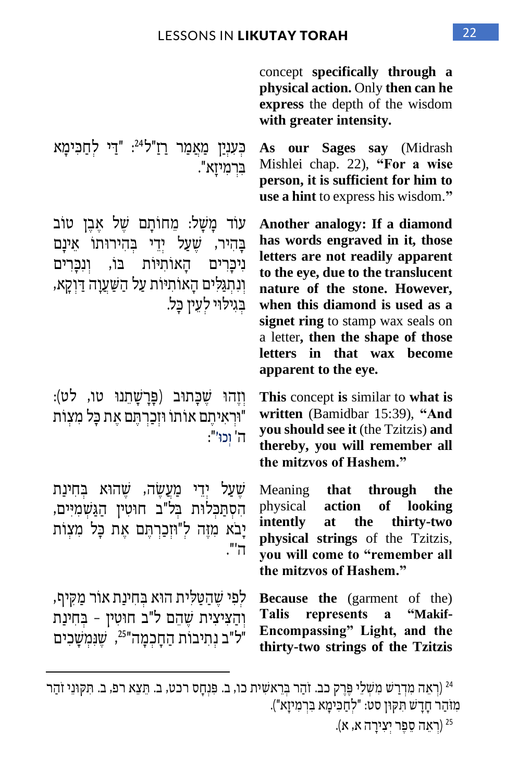concept **specifically through a physical action.** Only **then can he express** the depth of the wisdom **with greater intensity.**

**As our Sages say** (Midrash Mishlei chap. 22), **"For a wise person, it is sufficient for him to use a hint** to express his wisdom.**"**

**Another analogy: If a diamond has words engraved in it, those letters are not readily apparent to the eye, due to the translucent nature of the stone. However, when this diamond is used as a signet ring** to stamp wax seals on a letter**, then the shape of those letters in that wax become apparent to the eye.**

**This** concept **is** similar to **what is written** (Bamidbar 15:39), **"And you should see it** (the Tzitzis) **and thereby, you will remember all the mitzvos of Hashem."**

Meaning **that through the**  physical **action of looking intently at the thirty-two physical strings** of the Tzitzis, **you will come to "remember all the mitzvos of Hashem."**

**Because the** (garment of the) **Talis represents a "Makif-Encompassing" Light, and the thirty-two strings of the Tzitzis** 

 )רְּ אֵ ה מִ דְּ רַ ש מִ ש ְּ לֵ י פ ֶ רֶ ק כב. זֹהַ ר ב ְּ רֵ אש ִ ית כו, ב. פ ִ נְּ חָ ס רכט, ב. ת ֵ צֵ א רפ, ב. ִת ק וֵני זֹהַ ר <sup>24</sup> מִוּהַר חַדַשׁ תִּקוּן סט: "לְחַכִּימַא בְּרְמִיזַא").

(רִאֲה סֶפֶר יִצְירָה א, א).

כִּעָנְיַן מַאֲמַר רַזַ"ל<sup>24</sup>: "דַי לִחַכִּימָא ב ִ רְּ מִ יזָ א".

עוֹד מַשָׁל: מִחוֹתֵם של אָבֶן טוֹב בַּהִיר, שֵׁעַל יִדֵי בִּהִירוּתוֹ אֵינָם ניכרים האותיות בו, ונכרים וְנִתגּלים האותיות על השעוה דוקא, בגילוי לעין כל.

וֹזְהוּ שַׁכַּתוּב (פַּרַשַׁתַנוּ טו, לט): וּרְאיתִם אוֹתוֹ וּזְכַרְתֵּם אֶת כַּל מִצְוֹת" ה' ְוכ ו'":

שׁעַל יְדֵי מַעֲשֶׂה, שֵׁהוֹא בְּחִינַת הִסְתַּכְלוּת בְּל"ב חוּטִין הַגַּשְׁמִיִּים, יָבֹא מִזֶה לְ"וּזְכַרְתֵּם אֶת כַּל מִצְוֹת ה' ".

לִפִּי שֶׁהַטֲלִית הוֹא בִחִינַת אוֹר מַקִּיף, והציצית שהם ל"ב חוּטין - בחינת "ל"ב נְתִיבוֹת הַחָכְמָה"<sup>25</sup>, שֶׁנְּמְשָׁכִים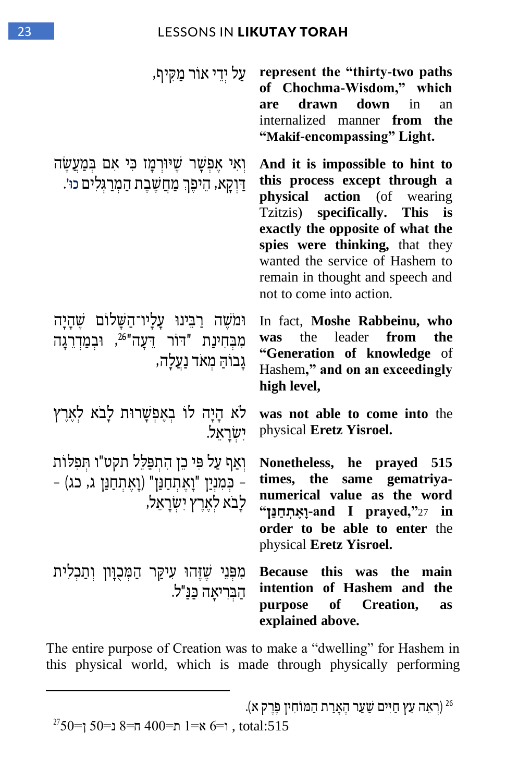#### 23 LESSONS IN LIKUTAY TORAH

וְאִי אַפְשָר שֶׁיּוּרְמַז כִּי אִם בְּמַעֲשֶה ַ דִּוְקָא, הֵיפֵךְ מַחֲשֵׁבֵת הַמְרַגִּלִים כוּ׳.

וּמֹשֶׁה רַבִּינוּ עָלָיו־הַשָּׁלוֹם שֵׁהַיַה מִבְּחִינַת "דוֹר דֵעָה"<sup>26</sup>, וּבְמַדְרֵגָה גָבוֹה ַ מְּ אֹד נַעֲלָה ,

לֹא הַיָה לוֹ בֹאַפַּשֶרוּת לָבֹא לֹאָרֶץ יִשׂראל.

וְאַף עַל פִּי כֵן הִתְפַּלֵל תקט"ו תִפְלוֹת – כִּמְנָיַן "וָאֵתְחַנַּן" (וָאֵתְחַנַּן ג, כג) – לִבֹא לְאָרֵץ יִשׂרְאָל,

מִפְּנֵי שֶׁזֶּהוּ עִיקַר הַמִּכְוַּוֹן וְתַכִלִית הַבְּרִיאָה כַּנַּ"ל.

 **paths two-thirty "the represent** עַ ל יְּדֵ י א ֹור ַמ ִ קיף, **of Chochma-Wisdom," which are drawn down** in an internalized manner **from the "Makif-encompassing" Light.**

> **And it is impossible to hint to this process except through a physical action** (of wearing Tzitzis) **specifically. This is exactly the opposite of what the spies were thinking,** that they wanted the service of Hashem to remain in thought and speech and not to come into action.

> In fact, **Moshe Rabbeinu, who was** the leader **from the "Generation of knowledge** of Hashem**," and on an exceedingly high level,**

> **was not able to come into** the physical **Eretz Yisroel.**

> **Nonetheless, he prayed 515 times, the same gematriyanumerical value as the word in** 27**",prayed I and-וָּאֶ תְׁ ח נ ַׁן" order to be able to enter** the physical **Eretz Yisroel.**

**Because this was the main intention of Hashem and the purpose of Creation, as explained above.**

The entire purpose of Creation was to make a "dwelling" for Hashem in this physical world, which is made through physically performing

 $2750$ ד=1  $8 = \pi 400$  ח $= 1$  א=1  $6 = \pi 1$ , total:515

<sup>26</sup> )רְּ אֵ ה ֵעץ ַחִ יים ש ַ עַ ר הֶ אָ רַ ת הַ מ וֹחִ י ן פ ֶ רֶ ק א (.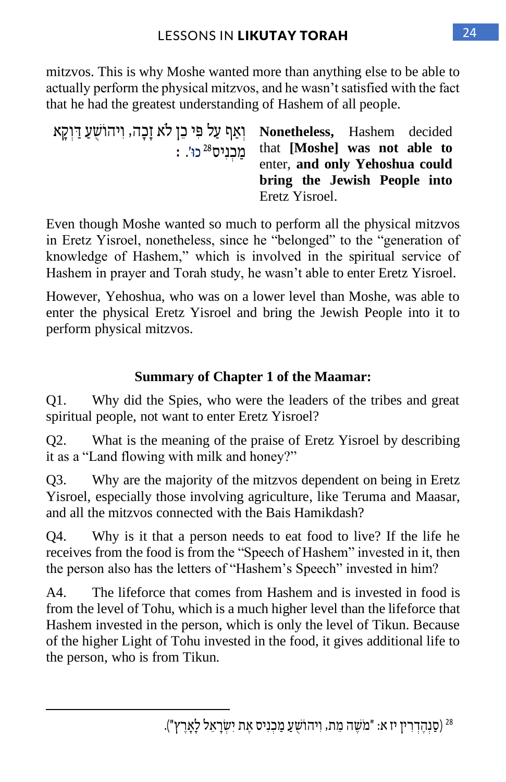mitzvos. This is why Moshe wanted more than anything else to be able to actually perform the physical mitzvos, and he wasn't satisfied with the fact that he had the greatest understanding of Hashem of all people.

| יִאַף עַל פִּי כֵן לֹא זַבָּה, וִיהוֹשָׁעַ דַוְקָא Nonetheless, Hashem decided |                                       |  |
|--------------------------------------------------------------------------------|---------------------------------------|--|
|                                                                                | : "מכניס that [Moshe] was not able to |  |
|                                                                                | enter, and only Yehoshua could        |  |
|                                                                                | bring the Jewish People into          |  |
|                                                                                | Eretz Yisroel.                        |  |

Even though Moshe wanted so much to perform all the physical mitzvos in Eretz Yisroel, nonetheless, since he "belonged" to the "generation of knowledge of Hashem," which is involved in the spiritual service of Hashem in prayer and Torah study, he wasn't able to enter Eretz Yisroel.

However, Yehoshua, who was on a lower level than Moshe, was able to enter the physical Eretz Yisroel and bring the Jewish People into it to perform physical mitzvos.

#### **Summary of Chapter 1 of the Maamar:**

Q1. Why did the Spies, who were the leaders of the tribes and great spiritual people, not want to enter Eretz Yisroel?

Q2. What is the meaning of the praise of Eretz Yisroel by describing it as a "Land flowing with milk and honey?"

Q3. Why are the majority of the mitzvos dependent on being in Eretz Yisroel, especially those involving agriculture, like Teruma and Maasar, and all the mitzvos connected with the Bais Hamikdash?

Q4. Why is it that a person needs to eat food to live? If the life he receives from the food is from the "Speech of Hashem" invested in it, then the person also has the letters of "Hashem's Speech" invested in him?

A4. The lifeforce that comes from Hashem and is invested in food is from the level of Tohu, which is a much higher level than the lifeforce that Hashem invested in the person, which is only the level of Tikun. Because of the higher Light of Tohu invested in the food, it gives additional life to the person, who is from Tikun.

<sup>)</sup> סַ נְּהֶ דְּ רִ י ן יז א : "מֹש ֶ ה מֵ ת , וִ יהוֹש ֻ עַ מַ כְּ נִ יס אֶ ת יִ ש ְּ רָ אֵ ל לָאָ רֶ ץ "(. 28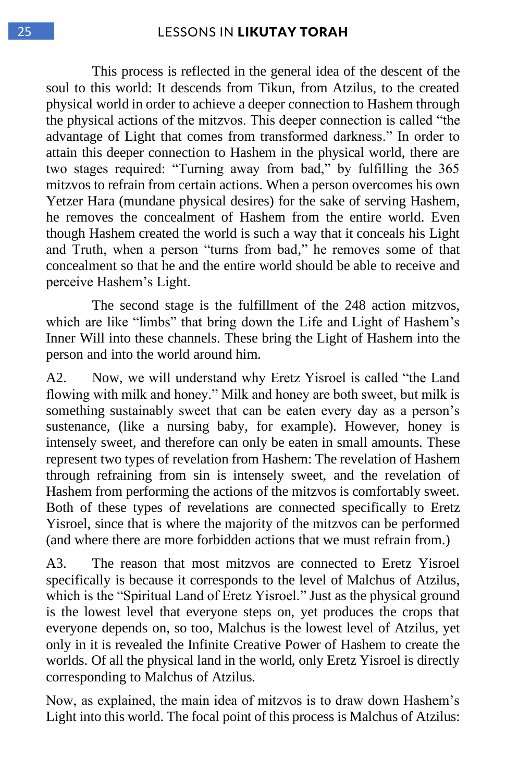This process is reflected in the general idea of the descent of the soul to this world: It descends from Tikun, from Atzilus, to the created physical world in order to achieve a deeper connection to Hashem through the physical actions of the mitzvos. This deeper connection is called "the advantage of Light that comes from transformed darkness." In order to attain this deeper connection to Hashem in the physical world, there are two stages required: "Turning away from bad," by fulfilling the 365 mitzvos to refrain from certain actions. When a person overcomes his own Yetzer Hara (mundane physical desires) for the sake of serving Hashem, he removes the concealment of Hashem from the entire world. Even though Hashem created the world is such a way that it conceals his Light and Truth, when a person "turns from bad," he removes some of that concealment so that he and the entire world should be able to receive and perceive Hashem's Light.

The second stage is the fulfillment of the 248 action mitzvos, which are like "limbs" that bring down the Life and Light of Hashem's Inner Will into these channels. These bring the Light of Hashem into the person and into the world around him.

A2. Now, we will understand why Eretz Yisroel is called "the Land flowing with milk and honey." Milk and honey are both sweet, but milk is something sustainably sweet that can be eaten every day as a person's sustenance, (like a nursing baby, for example). However, honey is intensely sweet, and therefore can only be eaten in small amounts. These represent two types of revelation from Hashem: The revelation of Hashem through refraining from sin is intensely sweet, and the revelation of Hashem from performing the actions of the mitzvos is comfortably sweet. Both of these types of revelations are connected specifically to Eretz Yisroel, since that is where the majority of the mitzvos can be performed (and where there are more forbidden actions that we must refrain from.)

A3. The reason that most mitzvos are connected to Eretz Yisroel specifically is because it corresponds to the level of Malchus of Atzilus, which is the "Spiritual Land of Eretz Yisroel." Just as the physical ground is the lowest level that everyone steps on, yet produces the crops that everyone depends on, so too, Malchus is the lowest level of Atzilus, yet only in it is revealed the Infinite Creative Power of Hashem to create the worlds. Of all the physical land in the world, only Eretz Yisroel is directly corresponding to Malchus of Atzilus.

Now, as explained, the main idea of mitzvos is to draw down Hashem's Light into this world. The focal point of this process is Malchus of Atzilus: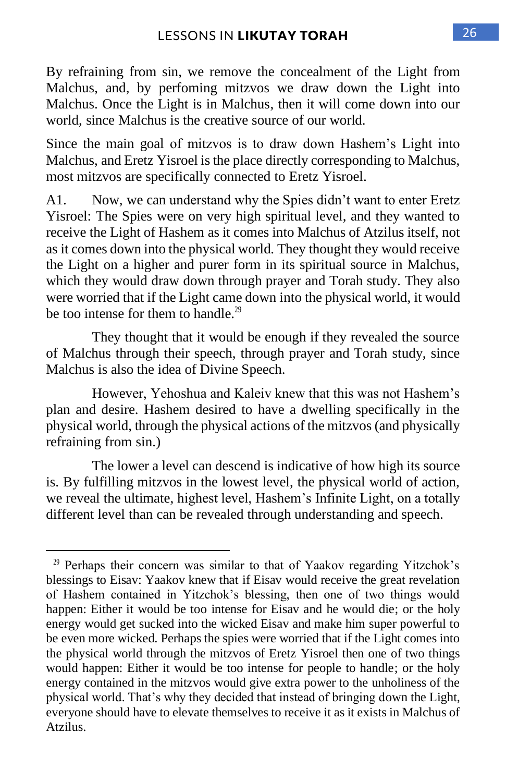By refraining from sin, we remove the concealment of the Light from Malchus, and, by perfoming mitzvos we draw down the Light into Malchus. Once the Light is in Malchus, then it will come down into our world, since Malchus is the creative source of our world.

Since the main goal of mitzvos is to draw down Hashem's Light into Malchus, and Eretz Yisroel is the place directly corresponding to Malchus, most mitzvos are specifically connected to Eretz Yisroel.

A1. Now, we can understand why the Spies didn't want to enter Eretz Yisroel: The Spies were on very high spiritual level, and they wanted to receive the Light of Hashem as it comes into Malchus of Atzilus itself, not as it comes down into the physical world. They thought they would receive the Light on a higher and purer form in its spiritual source in Malchus, which they would draw down through prayer and Torah study. They also were worried that if the Light came down into the physical world, it would be too intense for them to handle.<sup>29</sup>

They thought that it would be enough if they revealed the source of Malchus through their speech, through prayer and Torah study, since Malchus is also the idea of Divine Speech.

However, Yehoshua and Kaleiv knew that this was not Hashem's plan and desire. Hashem desired to have a dwelling specifically in the physical world, through the physical actions of the mitzvos (and physically refraining from sin.)

The lower a level can descend is indicative of how high its source is. By fulfilling mitzvos in the lowest level, the physical world of action, we reveal the ultimate, highest level, Hashem's Infinite Light, on a totally different level than can be revealed through understanding and speech.

<sup>&</sup>lt;sup>29</sup> Perhaps their concern was similar to that of Yaakov regarding Yitzchok's blessings to Eisav: Yaakov knew that if Eisav would receive the great revelation of Hashem contained in Yitzchok's blessing, then one of two things would happen: Either it would be too intense for Eisav and he would die; or the holy energy would get sucked into the wicked Eisav and make him super powerful to be even more wicked. Perhaps the spies were worried that if the Light comes into the physical world through the mitzvos of Eretz Yisroel then one of two things would happen: Either it would be too intense for people to handle; or the holy energy contained in the mitzvos would give extra power to the unholiness of the physical world. That's why they decided that instead of bringing down the Light, everyone should have to elevate themselves to receive it as it exists in Malchus of Atzilus.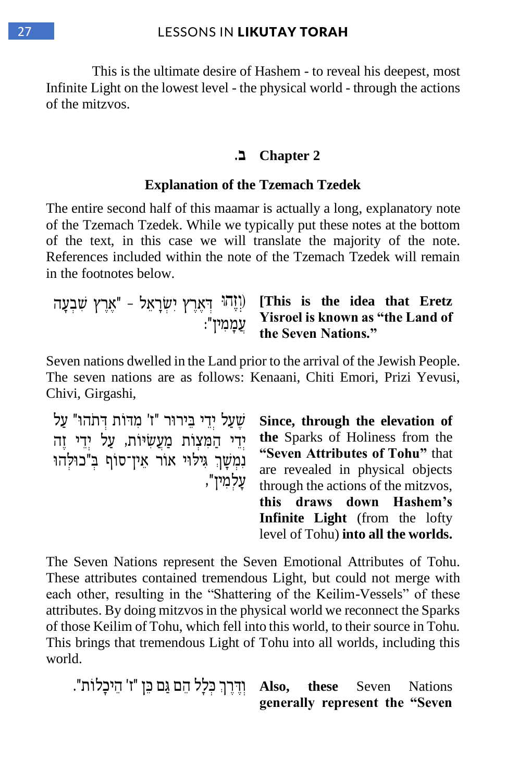This is the ultimate desire of Hashem - to reveal his deepest, most Infinite Light on the lowest level - the physical world - through the actions of the mitzvos.

#### **2 Chapter ב.**

#### **Explanation of the Tzemach Tzedek**

The entire second half of this maamar is actually a long, explanatory note of the Tzemach Tzedek. While we typically put these notes at the bottom of the text, in this case we will translate the majority of the note. References included within the note of the Tzemach Tzedek will remain in the footnotes below.

ד ְּ אֶ רֶ ץ יִ ש ְּ רָ אֵ ל – " אֶ רֶ ץ ש ִ בְּ עָ ה )ְׁוֶזהוּ **[This is the idea that Eretz**  עֲ מָ מִ ין": **Yisroel is known as "the Land of the Seven Nations."**

Seven nations dwelled in the Land prior to the arrival of the Jewish People. The seven nations are as follows: Kenaani, Chiti Emori, Prizi Yevusi, Chivi, Girgashi,

שֵׁעֲל יְדֵי בֵירוּר "ז' מִדּוֹת דְּתֹהוּ" עַל יְדֵי הַמְּצְוֹת מַעֲשִׂיּוֹת, עַל יְדֵי זֶה נִמְשָׁךְ גִילוּי אוֹר אֵין־סוֹף בִ"כוּלְהוּ עָ לְּ מִ ין",

**Since, through the elevation of the** Sparks of Holiness from the **"Seven Attributes of Tohu"** that are revealed in physical objects through the actions of the mitzvos, **this draws down Hashem's Infinite Light** (from the lofty level of Tohu) **into all the worlds.**

The Seven Nations represent the Seven Emotional Attributes of Tohu. These attributes contained tremendous Light, but could not merge with each other, resulting in the "Shattering of the Keilim-Vessels" of these attributes. By doing mitzvos in the physical world we reconnect the Sparks of those Keilim of Tohu, which fell into this world, to their source in Tohu. This brings that tremendous Light of Tohu into all worlds, including this world.

**Also, these** Seven Nations וְדֶּרֶךְ כִּלָל הֵם גַּם כֵּן "ז' הֵיכָלוֹת". **generally represent the "Seven**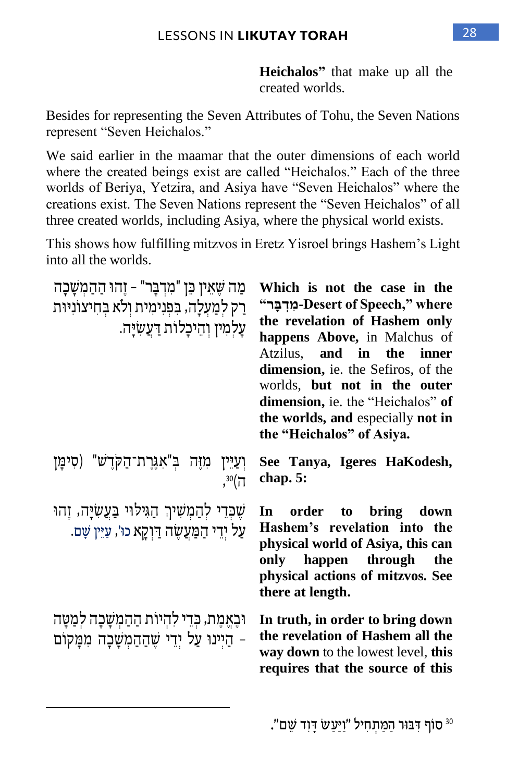**Heichalos"** that make up all the created worlds.

Besides for representing the Seven Attributes of Tohu, the Seven Nations represent "Seven Heichalos."

We said earlier in the maamar that the outer dimensions of each world where the created beings exist are called "Heichalos." Each of the three worlds of Beriya, Yetzira, and Asiya have "Seven Heichalos" where the creations exist. The Seven Nations represent the "Seven Heichalos" of all three created worlds, including Asiya, where the physical world exists.

This shows how fulfilling mitzvos in Eretz Yisroel brings Hashem's Light into all the worlds.

| מַה שֵׁאֵין כֵּן "מִדְבָּר" – זֵהוּ הַהַמִשָּׁבָה<br>רַק לִמַעַלָה, בִּפְנִימִית וְלֹא בְחִיצוֹנִיּוּת<br>עַלמִין וְהֵיכַלוֹת דַעֲשִׂיַּה. | Which is not the case in the<br>"Desert of Speech," where-מִרְבֵּר-<br>the revelation of Hashem only<br>happens Above, in Malchus of<br>Atzilus, and in the<br>inner<br>dimension, ie. the Sefiros, of the<br>worlds, but not in the outer<br><b>dimension,</b> ie. the "Heichalos" of<br>the worlds, and especially not in<br>the "Heichalos" of Asiya. |
|--------------------------------------------------------------------------------------------------------------------------------------------|----------------------------------------------------------------------------------------------------------------------------------------------------------------------------------------------------------------------------------------------------------------------------------------------------------------------------------------------------------|
| וְעַיֵּין מִזֶה בִּ"אִגְרֵת־הַקְדֵשׁ" (סִימַן<br>, 30(7)                                                                                   | See Tanya, Igeres HaKodesh,<br>chap. 5:                                                                                                                                                                                                                                                                                                                  |
| שֶׁכְּדֵי לְהַמְשִׁיךְ הַגִּילוּי בַּעֲשְׂיַּה, זֶהוּ<br>עַל יְדֵי הַמַּעֲשֶׂה דַּיְקַא כוּ׳, עַיֵּין שָׁם.                                | In<br>order to<br>bring down<br>Hashem's revelation into the<br>physical world of Asiya, this can<br>only happen through<br>the<br>physical actions of mitzvos. See<br>there at length.                                                                                                                                                                  |
| וּבַאֲמֵת, כִּדֵי לְהִיוֹת הַהַמִשָּׁכָה לִמַטָּה<br>- הַיִינוּ עַל יִדֵי שֶׁהַהַמִשָּׁכָה מִמָּקוֹם                                       | In truth, in order to bring down<br>the revelation of Hashem all the<br>way down to the lowest level, this<br>requires that the source of this                                                                                                                                                                                                           |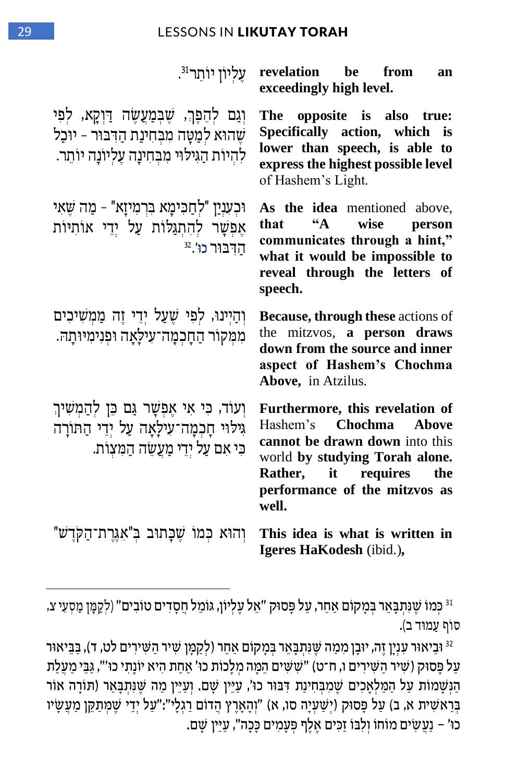| ּעֲלִיוֹן יוֹתֵר <sup>31</sup> .                                                                                                      | revelation be from<br>an<br>exceedingly high level.                                                                                                                                                                       |
|---------------------------------------------------------------------------------------------------------------------------------------|---------------------------------------------------------------------------------------------------------------------------------------------------------------------------------------------------------------------------|
| וְגַם לְהֵפֶּךְ, שֶׁבְמַעֲשֶׂה דַוְקָא, לִפִּי<br>שֶׁהוּא לְמַטַּה מִבְחִינַת הַדְּבּוּר - יוּכַל<br>להיות הגילוי מבחינה עליונה יותר. | The<br>opposite is<br>also true:<br>Specifically action, which is<br>lower than speech, is able to<br>express the highest possible level<br>of Hashem's Light.                                                            |
| וּכִעְנִיַן "לִחֲכִּימָא בִּרְמִיזַא" - מַה שֵׁאִי<br>אֶפִשָּׁר להִתְגַּלוֹת עַל יְדֵי אוֹתִיּוֹת<br>הדבור כו'. <sup>32</sup>         | As the idea mentioned above,<br>$\mathbf{A}$<br>that<br>wise<br>person<br>communicates through a hint,"<br>what it would be impossible to<br>reveal through the letters of<br>speech.                                     |
| וְהַיִּינוּ, לִפִי שֵׁעַל יְדֵי זֵה מַמְשִׁיכִים<br>ממקור החכמה־עילאה ופנימיותה.                                                      | Because, through these actions of<br>mitzvos, a person draws<br>the<br>down from the source and inner<br>aspect of Hashem's Chochma<br>Above, in Atzilus.                                                                 |
| וְעוֹד, כִּי אִי אֵפְשָׁר גַּם כֵּן לְהַמְשִׁיךְ<br>גִילוּי חָכְמָה־עִילָאָה עַל יִדֵי הַתּוֹרָה<br>כי אם על ידי מעשה המעות.          | Furthermore, this revelation of<br>Hashem's<br><b>Chochma</b><br><b>Above</b><br>cannot be drawn down into this<br>world by studying Torah alone.<br>Rather, it requires<br>the<br>performance of the mitzvos as<br>well. |
| ּוְהוּא כִּמוֹ שֵׁכָּתוּב בִּ"אִגֵּרַת־הַקֹּדֵשׁ                                                                                      | This idea is what is written in<br>Igeres HaKodesh (ibid.),                                                                                                                                                               |

וּ כְּמוֹ שֶׁנִּתְבָאֵר בְּמָקוֹם אַחֵר, עַל פָּסוּק "אֵל עֶלְיוֹן, גּוֹמֵל חֲסָדִים טוֹבִים" (לְקַמֶּן מַסְעֵי צ, סוֹף עַמוּד ב).

<sup>32</sup> וּבֵיאוּר עִנְיָן זֶה, יוּבָן מִמַה שֶׁנִּתְבָאֵר בְּמָקוֹם אַחֵר (לְקַמָּן שִׁיר הַשִּׁירִים לט, ד), בַּבֵּיאוּר ַּעֲל פָּסוּק (שִׁיר הַשִּׁירִים ו, ח־ט) "שָׁשִּׁים הֵמֶּה מְלָכוֹת כוּ' אַחַת הִיא יוֹנָתִי כוּ'", גַּבֵּי מַעֲלַת ַּהַנְּשָׁמוֹת עַל הַמַּלְאָכִים שֶׁמִבְּחִינַת דִּבּוּר כוּ׳, עַיֵּין שָׁם. וְעַיֵּין מַה שֶׁנִּתְבָאֵר (תּוֹרָה אוֹר ַּבְּרֵאשִׁית א, ב) עַל פָּסוּק (יְשַׁעְיָה סו, א) "וְהָאָרֶץ הֲדוֹם רַגְלָי":"עַל יְדֵי שֶׁמְּתַקֵּן מַעֲשָׂיו כוּ' – נַעֲשִׂים מוֹחוֹ וְלִבּוֹ זַכִּים אֶלֶף פְּעָמִים כָּכָה", עַיֵּין שָׁם.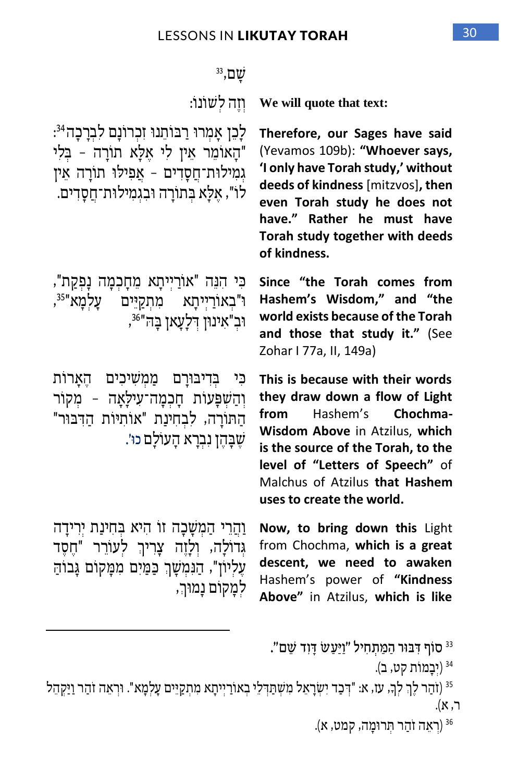| $33, \square \psi$                                                                                                                                                                                   |                                                                                                                                                                                                                                                                           |
|------------------------------------------------------------------------------------------------------------------------------------------------------------------------------------------------------|---------------------------------------------------------------------------------------------------------------------------------------------------------------------------------------------------------------------------------------------------------------------------|
| וזה לשונו:                                                                                                                                                                                           | We will quote that text:                                                                                                                                                                                                                                                  |
| לָכֵן אָמִרוּ רַבּוֹתֵנוּ זִכְרוֹנָם לִבְרָכָה <sup>34</sup> :<br>"הַאוֹמֶר אֵין לִי אֵלַא תוֹרַה - בִּלִי<br>גמילות־חַסָדִים - אַפִילוּ תוֹרָה אֵין<br>לו", אֵלָא בְּתוֹרָה וּבְגְמִילוּת־חֲסָדִים. | Therefore, our Sages have said<br>(Yevamos 109b): "Whoever says,<br>'I only have Torah study,' without<br>deeds of kindness [mitzvos], then<br>even Torah study he does not<br>have." Rather he must have<br>Torah study together with deeds<br>of kindness.              |
| כִּי הִנֵּה "אוֹרַיִיתָא מֵחָכִמָּה נָפְקַת",<br>ּוּ"בְאוֹרַיִיתָא מִתְקַיֵּים עָלְמָא" <sup>35</sup> ,<br>וּבְ"אִינוּן דְלַעֲאן בַּה" <sup>36</sup> ,                                               | Since "the Torah comes from<br>Hashem's Wisdom," and "the<br>world exists because of the Torah<br>and those that study it." (See<br>Zohar I 77a, II, 149a)                                                                                                                |
| כִּי בִדִיבּוּרָם מַמִשִׁיכִים הֵאָרוֹת<br>וְהַשִׁפָּעוֹת חָכְמָה־עִילָאָה - מִקוֹר<br>הַתּוֹרָה, לִבְחִינַת "אוֹתִיּוֹת הַדְּבּוּר"<br>שֵׁבָּהֵן נִבְרָא הָעוֹלָם כוּ׳.                             | This is because with their words<br>they draw down a flow of Light<br>Hashem's Chochma-<br>from<br>Wisdom Above in Atzilus, which<br>is the source of the Torah, to the<br>level of "Letters of Speech" of<br>Malchus of Atzilus that Hashem<br>uses to create the world. |
| וַהֲרֵי הַמִשָּׁכָה זו הִיא בְּחִינַת יִרִידָה<br>גִּדוֹלָה, וְלָזֵה צָרִיךְ לִעוֹרֵר "חֵסֵד<br>עֶלִיוֹן", הַנִּמִשָׁךְ כַּמַּיִם מִמָּקוֹם גָּבוֹהַ<br>למַקוֹם נַמוּך,                              | Now, to bring down this Light<br>from Chochma, which is a great<br>descent, we need to awaken<br>Hashem's power of "Kindness<br>Above" in Atzilus, which is like                                                                                                          |

" סוף דִּבּוּר הַמַּתְחִיל "וַיַּעַשׂ דָוִד שֵם".

```
<sup>34</sup> (יִבָמוֹת קט, ב).
```
זהַר וַיַּקְהֵל (וֹהַר לָךְ, עז, או "דְּבַד יִשְׂרָאֵל מִשְׁתַּדְּלֵי בְאוֹרַיְיתָא מִתְקַיֵּים עָלְמָא". וּרְאֵה זֹהַר וַיַּקְהֵל  $\text{ }^{35}$ ר, א).

36 )רְּ אֵ ה זֹהַ ר ת ְּ רו מָ ה, קמט, א (.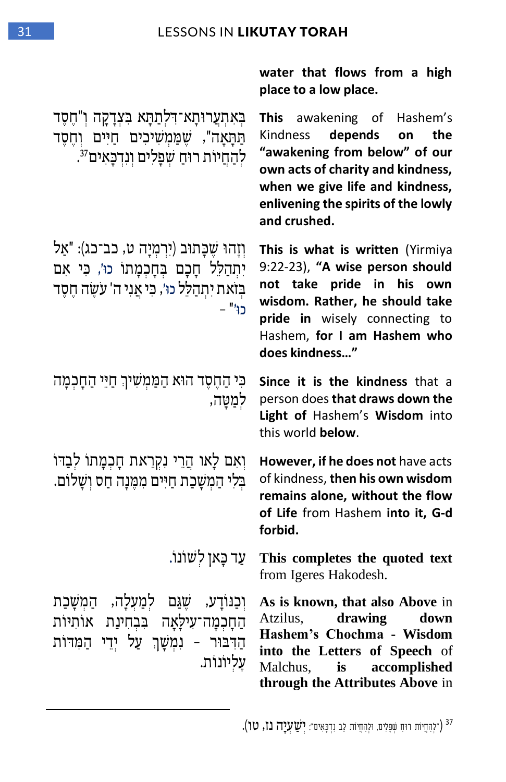**water that flows from a high** 

**place to a low place.**  ד בּאתערוּתַא־דלתַתַּא בּצדַקַה ו"חַסִד This תַּתָּאָה", שֶׁמַּמְשִׁיכִים חַיִּים וְחֵסֶד לְהַחֲיוֹת רוּחַ שִׁפָלִים וְנִדְכָאִים<sup>37</sup>. **This** awakening of Hashem's Kindness **depends on the "awakening from below" of our own acts of charity and kindness, when we give life and kindness, enlivening the spirits of the lowly and crushed.** וְזֶהוּ שֶכַּתוּב (יִרְמְיָה ט, כב־כג): "אַל יִתְהַלֵּל חָכָם בְּחָכְמָתוֹ כוּ׳, כִּי אִם בּזֹאת יתהלל כוּ׳, כּי אני ה' עֹשׂה חסד כו ' " – **This is what is written** (Yirmiya 9:22-23), **"A wise person should not take pride in his own wisdom. Rather, he should take pride in** wisely connecting to Hashem, **for I am Hashem who does kindness…"** כִּי הַחֵסֵד הוֹא הַמַּמִשִׁיךְ חַיֵּי הַחֲכמַה לְמַטֵּה, **Since it is the kindness** that a person does **that draws down the Light of** Hashem's **Wisdom** into this world **below**. וְיִאָם לַאו הֲרֵי נִקְרֵאת חֲכָמָתוֹ לִבְדוֹ בִּלִי הַמְשָׁכַת חַיִּים מִמֵּנָה חַס וְשָׁלוֹם. **However, if he does not** have acts of kindness, **then his own wisdom remains alone, without the flow of Life** from Hashem **into it, G-d forbid. itert yield text** yie with yield text from Igeres Hakodesh. וְכַנּוֹדַע, שֵׁגַּם לִמַעְלָה, הַמִשַּׁכַת הַחֲכִמַּה־עִילַאַה בִּבְחִינַת אוֹתִיּוֹת הַ דבוּר – נמשַך עַל יִדי הַמדּות עֶ לְּ יוֹנוֹ ת. **As is known, that also Above** in Atzilus, **drawing down Hashem's Chochma - Wisdom into the Letters of Speech** of Malchus, **is accomplished through the Attributes Above** in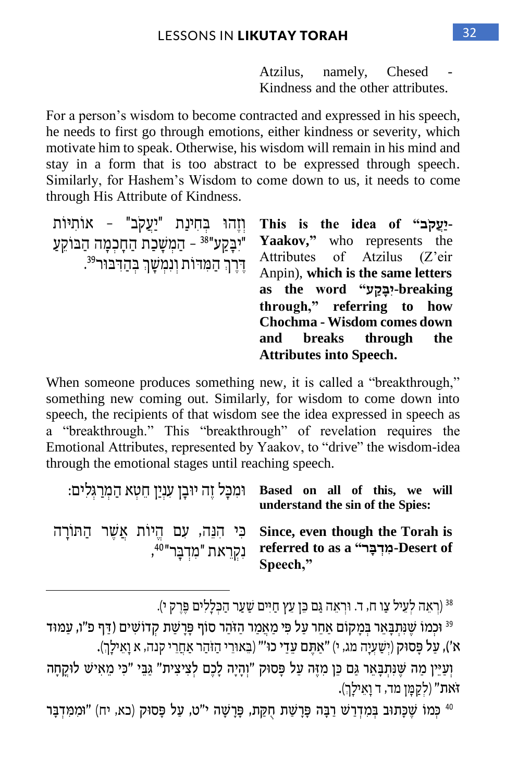Atzilus, namely, Chesed Kindness and the other attributes.

For a person's wisdom to become contracted and expressed in his speech, he needs to first go through emotions, either kindness or severity, which motivate him to speak. Otherwise, his wisdom will remain in his mind and stay in a form that is too abstract to be expressed through speech. Similarly, for Hashem's Wisdom to come down to us, it needs to come through His Attribute of Kindness.

וּזהוּ בחינת "יעקב" – אותיות יִבָּקַע"<sup>38 </sup> – הַמִשָּׁבַת הַחָבְמָה הַבּוֹקֵעַ דֶרֶךְ הַמְּדוֹת וְנִמְשָׁךְ בְּהַדְּבּוּר<sup>39</sup>.

**This is the idea of "ב ק ֲע י-Yaakov,"** who represents the Attributes of Atzilus (Z'eir Anpin), **which is the same letters breaking-יִ ב ָּ ק ַׁע" word the as through," referring to how Chochma - Wisdom comes down and breaks through the Attributes into Speech.**

When someone produces something new, it is called a "breakthrough," something new coming out. Similarly, for wisdom to come down into speech, the recipients of that wisdom see the idea expressed in speech as a "breakthrough." This "breakthrough" of revelation requires the Emotional Attributes, represented by Yaakov, to "drive" the wisdom-idea through the emotional stages until reaching speech.

|                                     | וּמְכָל זֵה יוּבָן עִנְיַן חֵטְא הַמְרַגְלִים: Based on all of this, we will<br>understand the sin of the Spies:                       |
|-------------------------------------|----------------------------------------------------------------------------------------------------------------------------------------|
| נִקְרֵאת "מִדְבַּר" <sup>40</sup> , | הַתּוֹרָה Since, even though the Torah is כִּי הִנֵּה, עִם הֵיוֹת אֲשֶׁר הַתּוֹרָה<br>referred to as a "פְרָבִר -Desert of<br>Speech," |

)רְּ אֵ ה לְּ עֵ יל צַ ו ח, ד. ו רְּ אֵ ה ג ַם כ ֵ ן ֵעץ ַחִ יים ש ַ עַ ר הַ כ ְּ לָלִ ים פ ֶ רֶ ק י(. <sup>38</sup>

<sup>39</sup> וּכְמוֹ שֶׁנִּתְבָּאֵר בְּמָקוֹם אַחֵר עַל פִּי מַאֲמַר הַזֹּהַר סוֹף פָּרָשַׁת קְדוֹשִׁים (דַּף פ"ו, עַמּוּד א'), עַל פַּסוּק (יִשָּׁעָיָה מג, י) "אַתֵּם עָדַי כוּ'" (בֵאוּרֵי הַזֹּהַר אַחֲרֵי קנה, א וַאֵילַךְ).

ַיְוַעֲיֵין מַה שֶׁנְתְבָּאֵר גֵּם כֵּן מִזֶּה עַל פַּסוּק "וְהָיָה לָכֶם לְצִיצִית" גֵּבֵי "כִּי מֵאִישׁ לוּקֵחָה זֹאת" (לְקַמָּן מד, ד וָאֵילָךְ).

<sup>40</sup> כִּמוֹ שֶׁכַּתוּב בִּמְדְרַשׁ רַבָּה פַּרַשַּׁת חִקַּת, פַּרַשַּׁה י"ט, עַל פַּסוּק (כא, יח) "וּמִמְדְבַּר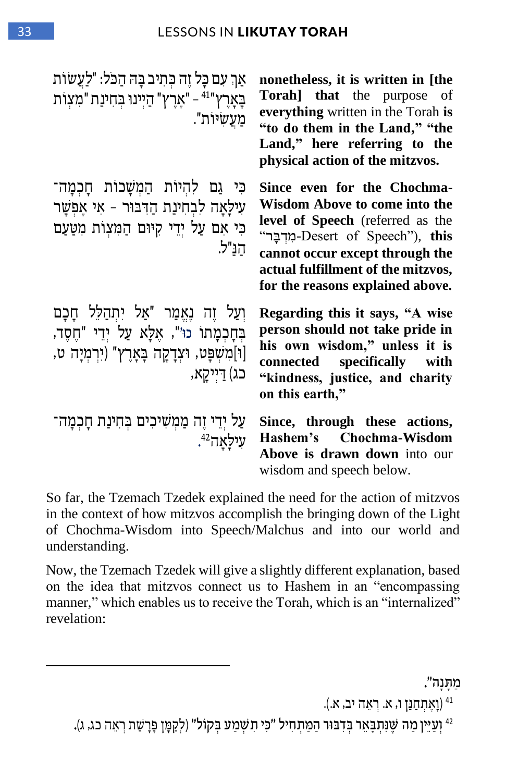| אַךְ עִם כַּל זֶה כִּתִיב בַּהּ הַכֹּל: "לַעֲשׂוֹת<br>בְאָרֶץ" <sup>41</sup> – "אֶרֶץ" הַיִּינוּ בִּחִינַת "מִצְוֹת<br>מַעֲשִׂיוֹת".                   | nonetheless, it is written in [the<br><b>Torah]</b> that the purpose of<br>everything written in the Torah is<br>"to do them in the Land," "the<br>Land," here referring to the<br>physical action of the mitzvos.                                    |
|--------------------------------------------------------------------------------------------------------------------------------------------------------|-------------------------------------------------------------------------------------------------------------------------------------------------------------------------------------------------------------------------------------------------------|
| כִּי גַם לְהִיוֹת הַמִשָּׁכוֹת חָכִמָּה־<br>עִילַאַה לִבְחִינַת הַדְּבּוּר - אִי אֵפְשַׁר<br>כי אם על ידי קיום המעות מטעם<br>הנ"ל.                     | Since even for the Chochma-<br>Wisdom Above to come into the<br>level of Speech (referred as the<br>"תּוִדְבָּר Desert of Speech"), this<br>cannot occur except through the<br>actual fulfillment of the mitzvos,<br>for the reasons explained above. |
| וְעַל זֵה נָאֱמַר "אַל יִתְהַלֵּל חֲכָם<br>בִחָכְמָתוֹ כוּ'", אֵלָא עַל יְדֵי "חֵסֶד,<br>[וּ]מִשְׁפָּט, וּצְדָקָה בָאָרֶץ" (יִרְמְיָה ט,<br>כג) דייקא, | Regarding this it says, "A wise<br>person should not take pride in<br>his own wisdom," unless it is<br>connected specifically with<br>"kindness, justice, and charity<br>on this earth,"                                                              |
| עַל יִדֵי זֶה מַמִשִׁיכִים בְּחִינַת חָכְמָה־<br>ּעִילַאַה <sup>42</sup> .                                                                             | Since, through these actions,<br>Hashem's Chochma-Wisdom<br>Above is drawn down into our<br>wisdom and speech below.                                                                                                                                  |

So far, the Tzemach Tzedek explained the need for the action of mitzvos in the context of how mitzvos accomplish the bringing down of the Light of Chochma-Wisdom into Speech/Malchus and into our world and understanding.

Now, the Tzemach Tzedek will give a slightly different explanation, based on the idea that mitzvos connect us to Hashem in an "encompassing manner," which enables us to receive the Torah, which is an "internalized" revelation:

#### ַּמ ת נה".

41 )וָאֶ תְּ חַ נ ַ ן ו, א. רְּ אֵ ה יב, א. (.

<sup>42</sup> וְעַיֵּין מַה שֵׁנִּתְבָאֵר בִּדְבּוּר הַמַּתְחִיל "כִּי תְשִׁמַע בְּקוֹל" (לְקֵמֶן פָּרָשַׁת רְאֶה כג, ג).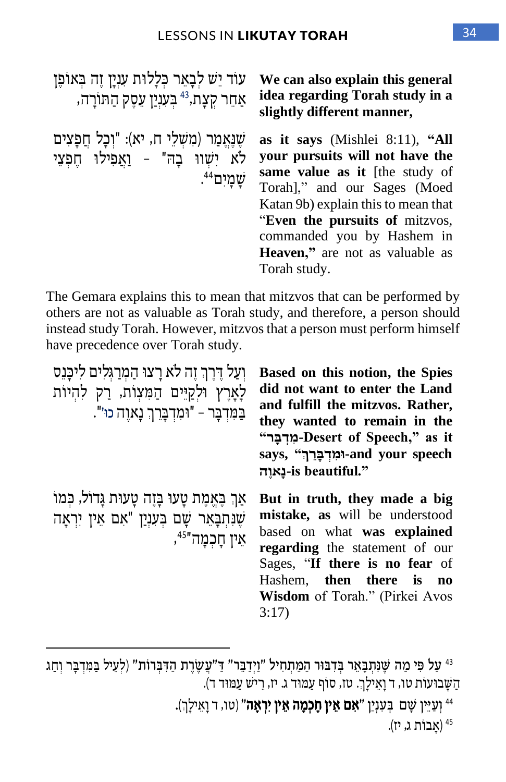עוֹד יֵש לִבָאֵר כְּלַלוּת עִנְיַן זֶה בְּאוֹפֵן , אַחֵר קְצָת,<sup>43</sup> בִּעַנְיַן עֵסֵק הַתּוֹרַה **We can also explain this general idea regarding Torah study in a slightly different manner,** שֲׁנָאֲמַר (מִשָׁלֵי ח, יא): "וְכַל חֲפָצִים לֹא יִשׁווּ בַה" - וַאֲפִילוּ חֶפְצֵי י שָׁמָיִם<sup>44</sup>. **as it says** (Mishlei 8:11), **"All your pursuits will not have the same value as it** [the study of Torah]," and our Sages (Moed Katan 9b) explain this to mean that "**Even the pursuits of** mitzvos, commanded you by Hashem in **Heaven,"** are not as valuable as Torah study.

The Gemara explains this to mean that mitzvos that can be performed by others are not as valuable as Torah study, and therefore, a person should instead study Torah. However, mitzvos that a person must perform himself have precedence over Torah study.

| וְעַל דֵּרֵךְ זֵה לֹא רָצוּ הַמְרַגְּלִים לִיכַּנֵס<br>לָאָרֵץ וּלִקַיִּים הַמִּצְוֹת, רַק להִיוֹת<br>בַּמִּדְבָר – "וּמִדְבָרֶךְ נָאוֵה כוּ׳". | Based on this notion, the Spies<br>did not want to enter the Land<br>and fulfill the mitzvos. Rather,<br>they wanted to remain in the<br>"מרִבּר -Desert of Speech," as it<br>says, "וְמִדְבָּרֶךְ". and your speech<br>-is beautiful."         |
|-------------------------------------------------------------------------------------------------------------------------------------------------|-------------------------------------------------------------------------------------------------------------------------------------------------------------------------------------------------------------------------------------------------|
| אַךְ בֶּאֱמֶת טָעוּ בָּזֶה טָעוּת גָּדוֹל, כִּמוֹ<br>שֶׁנִּתְבָּאֵר שָׁם בִּעָנַיַן "אִם אֵין יִרְאָה<br>אֵין חַכְמַה" <sup>45</sup> ",         | But in truth, they made a big<br>mistake, as will be understood<br>based on what was explained<br><b>regarding</b> the statement of our<br>Sages, "If there is no fear of<br>Hashem, then there is no<br>Wisdom of Torah." (Pirkei Avos<br>3:17 |

<sup>43</sup> עַל פִּי מַה שֵׁנְתַבַּאֵר בְּדְבּוּר הַמַּתְחִיל "וַיִּדְבֵּר" דַּ"עֲשֶׂרֶת הַדְּבִּרוֹת" (לְעֵיל בַּמִּדְבָּר וְחָג הַשַּׁבוּעוֹת טו, ד וַאֵילַךְ. טז, סוֹף עַמוּד ג. יז, רֵישׁ עַמוּד ד).

<sup>44</sup> יְעַיֵּין שָׁם בְּעִנְיַן "**אִם אֵין חָכְמָה אֵין יִרְאָה**" (טו<sub>י</sub> ד וָאֵילָךְ).

אָבוֹת ג, יז).<br>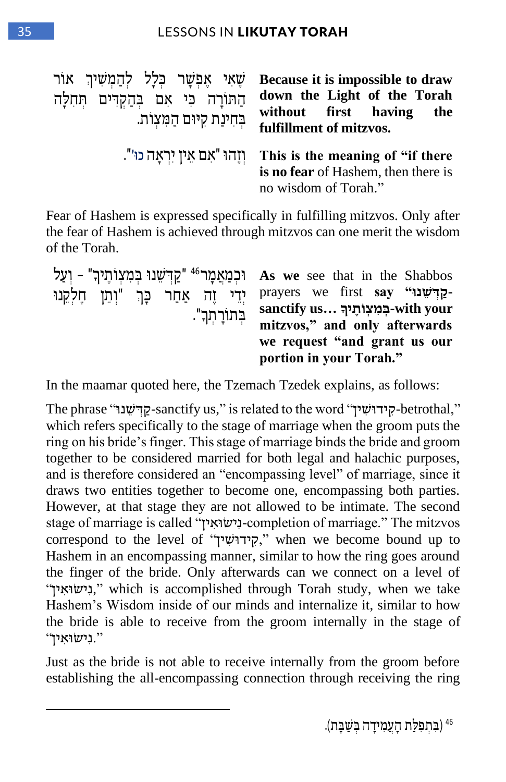| שאי אפשר כלל להמשיך אור<br>החורה כי אם בהקדים תחלה<br>בחינת קיום המצות. | Because it is impossible to draw<br>down the Light of the Torah<br>without first having<br>the<br>fulfillment of mitzvos. |
|-------------------------------------------------------------------------|---------------------------------------------------------------------------------------------------------------------------|
| וְזֶהוּ "אִם אֵין יִרְאַה כוּ׳".                                        | This is the meaning of "if there"<br>is no fear of Hashem, then there is<br>no wisdom of Torah."                          |

Fear of Hashem is expressed specifically in fulfilling mitzvos. Only after the fear of Hashem is achieved through mitzvos can one merit the wisdom of the Torah.

|  |  |               | יִפְדְּשֵׁנוּ בְּמִצְוֹתֶיךָ" - יְעַל As w                                |
|--|--|---------------|---------------------------------------------------------------------------|
|  |  | בְתוֹרָתִךְ". | יִדֵי זֶה אַחַר כָּךְ "וְתֵן חֶלְקֵנוּ prayer<br>sancti<br>mitzv<br>we re |

**e** see that in the Shabbos prayers we first **say " שנו ד ְׁק sanctify us… ךָּ your with- ְׁ ב ִמ ְׁצ ו ֶתי mitzvos," and only afterwards we request "and grant us our portion in your Torah."**

In the maamar quoted here, the Tzemach Tzedek explains, as follows:

The phrase "קידשנו" sanctify us," is related to the word קידושין" -betrothal, which refers specifically to the stage of marriage when the groom puts the ring on his bride's finger. This stage of marriage binds the bride and groom together to be considered married for both legal and halachic purposes, and is therefore considered an "encompassing level" of marriage, since it draws two entities together to become one, encompassing both parties. However, at that stage they are not allowed to be intimate. The second stage of marriage is called "ין ִא ו ישִנ-completion of marriage." The mitzvos correspond to the level of "קידוּשִׁין," when we become bound up to Hashem in an encompassing manner, similar to how the ring goes around the finger of the bride. Only afterwards can we connect on a level of " ין ִא ו יש ִנ, "which is accomplished through Torah study, when we take Hashem's Wisdom inside of our minds and internalize it, similar to how the bride is able to receive from the groom internally in the stage of ".נישואין".

Just as the bride is not able to receive internally from the groom before establishing the all-encompassing connection through receiving the ring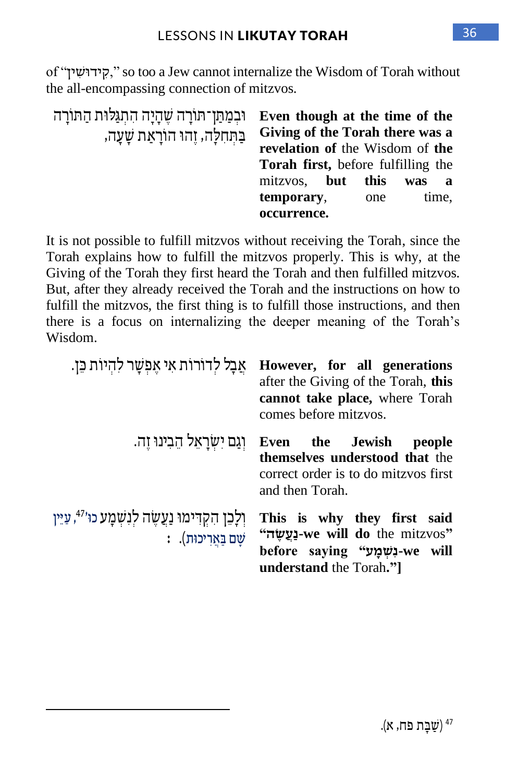of "ין ִ ש ידו ִק, "so too a Jew cannot internalize the Wisdom of Torah without the all-encompassing connection of mitzvos.

| וכמתן תורה שהיה התגלות התורה         | Even though at the time of the            |      |            |
|--------------------------------------|-------------------------------------------|------|------------|
| בַּתְּחִלַּה, זֶהוּ הוֹרַאַת שַׁעַה, | Giving of the Torah there was a           |      |            |
|                                      | revelation of the Wisdom of the           |      |            |
|                                      | <b>Torah first,</b> before fulfilling the |      |            |
|                                      | mitzvos. <b>but</b>                       | this | was<br>- a |
|                                      | temporary,                                | one  | time,      |
|                                      | occurrence.                               |      |            |

It is not possible to fulfill mitzvos without receiving the Torah, since the Torah explains how to fulfill the mitzvos properly. This is why, at the Giving of the Torah they first heard the Torah and then fulfilled mitzvos. But, after they already received the Torah and the instructions on how to fulfill the mitzvos, the first thing is to fulfill those instructions, and then there is a focus on internalizing the deeper meaning of the Torah's Wisdom.

| אַבַל לדורות אי אָפִשָר להיות בֵן.                                            | However, for all generations<br>after the Giving of the Torah, this<br>cannot take place, where Torah<br>comes before mitzvos.        |
|-------------------------------------------------------------------------------|---------------------------------------------------------------------------------------------------------------------------------------|
| וְגַם יִשְׂרָאֵל הֵבִינוּ זֵה.                                                | Even the Jewish<br>people<br>themselves understood that the<br>correct order is to do mitzvos first<br>and then Torah.                |
| ולכן הקדימו נַעֲשֶה לִנְשְׁמָע כו <sup>47,</sup> עַיֵּין<br>: שם בַאַריכוּת). | This is why they first said<br>"we will do the mitzvos" - נַעֲשֶה"<br>before saying "שׁמַע" -we will<br><b>understand</b> the Torah." |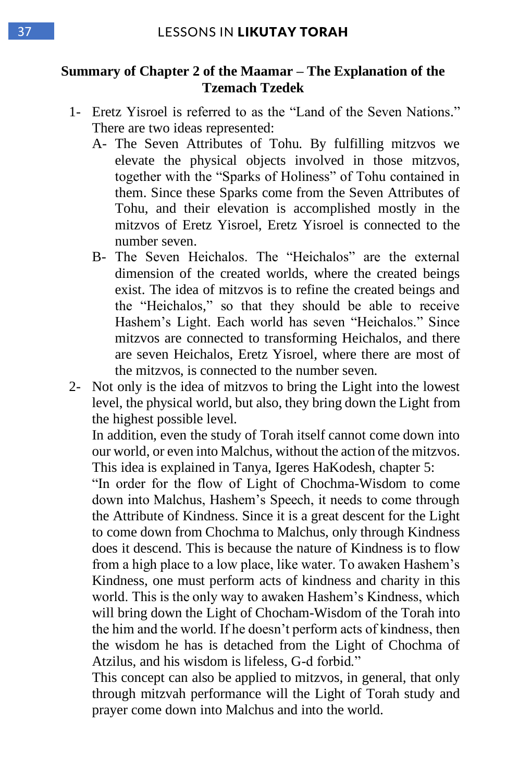#### **Summary of Chapter 2 of the Maamar – The Explanation of the Tzemach Tzedek**

- 1- Eretz Yisroel is referred to as the "Land of the Seven Nations." There are two ideas represented:
	- A- The Seven Attributes of Tohu. By fulfilling mitzvos we elevate the physical objects involved in those mitzvos, together with the "Sparks of Holiness" of Tohu contained in them. Since these Sparks come from the Seven Attributes of Tohu, and their elevation is accomplished mostly in the mitzvos of Eretz Yisroel, Eretz Yisroel is connected to the number seven.
	- B- The Seven Heichalos. The "Heichalos" are the external dimension of the created worlds, where the created beings exist. The idea of mitzvos is to refine the created beings and the "Heichalos," so that they should be able to receive Hashem's Light. Each world has seven "Heichalos." Since mitzvos are connected to transforming Heichalos, and there are seven Heichalos, Eretz Yisroel, where there are most of the mitzvos, is connected to the number seven.
- 2- Not only is the idea of mitzvos to bring the Light into the lowest level, the physical world, but also, they bring down the Light from the highest possible level.

In addition, even the study of Torah itself cannot come down into our world, or even into Malchus, without the action of the mitzvos. This idea is explained in Tanya, Igeres HaKodesh, chapter 5:

"In order for the flow of Light of Chochma-Wisdom to come down into Malchus, Hashem's Speech, it needs to come through the Attribute of Kindness. Since it is a great descent for the Light to come down from Chochma to Malchus, only through Kindness does it descend. This is because the nature of Kindness is to flow from a high place to a low place, like water. To awaken Hashem's Kindness, one must perform acts of kindness and charity in this world. This is the only way to awaken Hashem's Kindness, which will bring down the Light of Chocham-Wisdom of the Torah into the him and the world. If he doesn't perform acts of kindness, then the wisdom he has is detached from the Light of Chochma of Atzilus, and his wisdom is lifeless, G-d forbid."

This concept can also be applied to mitzvos, in general, that only through mitzvah performance will the Light of Torah study and prayer come down into Malchus and into the world.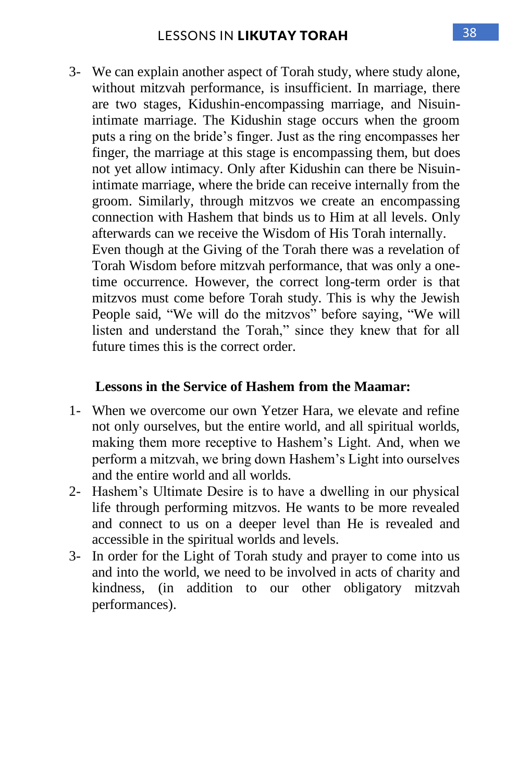3- We can explain another aspect of Torah study, where study alone, without mitzvah performance, is insufficient. In marriage, there are two stages, Kidushin-encompassing marriage, and Nisuinintimate marriage. The Kidushin stage occurs when the groom puts a ring on the bride's finger. Just as the ring encompasses her finger, the marriage at this stage is encompassing them, but does not yet allow intimacy. Only after Kidushin can there be Nisuinintimate marriage, where the bride can receive internally from the groom. Similarly, through mitzvos we create an encompassing connection with Hashem that binds us to Him at all levels. Only afterwards can we receive the Wisdom of His Torah internally. Even though at the Giving of the Torah there was a revelation of Torah Wisdom before mitzvah performance, that was only a onetime occurrence. However, the correct long-term order is that mitzvos must come before Torah study. This is why the Jewish People said, "We will do the mitzvos" before saying, "We will listen and understand the Torah," since they knew that for all

#### **Lessons in the Service of Hashem from the Maamar:**

future times this is the correct order.

- 1- When we overcome our own Yetzer Hara, we elevate and refine not only ourselves, but the entire world, and all spiritual worlds, making them more receptive to Hashem's Light. And, when we perform a mitzvah, we bring down Hashem's Light into ourselves and the entire world and all worlds.
- 2- Hashem's Ultimate Desire is to have a dwelling in our physical life through performing mitzvos. He wants to be more revealed and connect to us on a deeper level than He is revealed and accessible in the spiritual worlds and levels.
- 3- In order for the Light of Torah study and prayer to come into us and into the world, we need to be involved in acts of charity and kindness, (in addition to our other obligatory mitzvah performances).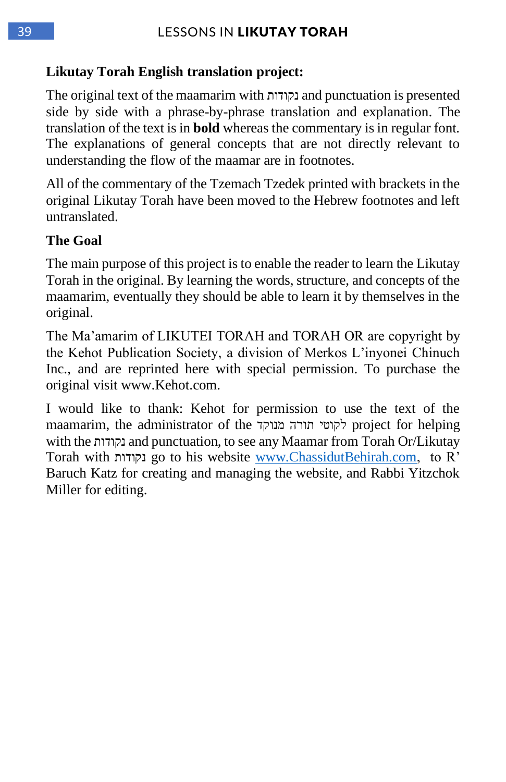#### **Likutay Torah English translation project:**

The original text of the maamarim with נקודות and punctuation is presented side by side with a phrase-by-phrase translation and explanation. The translation of the text is in **bold** whereas the commentary is in regular font. The explanations of general concepts that are not directly relevant to understanding the flow of the maamar are in footnotes.

All of the commentary of the Tzemach Tzedek printed with brackets in the original Likutay Torah have been moved to the Hebrew footnotes and left untranslated.

#### **The Goal**

The main purpose of this project is to enable the reader to learn the Likutay Torah in the original. By learning the words, structure, and concepts of the maamarim, eventually they should be able to learn it by themselves in the original.

The Ma'amarim of LIKUTEI TORAH and TORAH OR are copyright by the Kehot Publication Society, a division of Merkos L'inyonei Chinuch Inc., and are reprinted here with special permission. To purchase the original visit www.Kehot.com.

I would like to thank: Kehot for permission to use the text of the maamarim, the administrator of the מנוקד תורה לקוטי project for helping with the נקודות and punctuation, to see any Maamar from Torah Or/Likutay Torah with נקודות go to his website [www.ChassidutBehirah.com,](http://www.chassidutbehirah.com/) to R' Baruch Katz for creating and managing the website, and Rabbi Yitzchok Miller for editing.